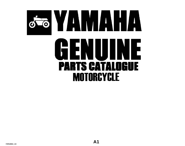# GENUINE **PARTS CATALOGUE MOTORCYCLE**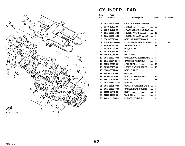

# **CYLINDER HEAD**

| Ref.         | Part                   |                                       |                |                |
|--------------|------------------------|---------------------------------------|----------------|----------------|
| No.          | <b>Number</b>          | <b>Description</b>                    | Qty            | <b>Remarks</b> |
|              |                        |                                       |                |                |
| 1            | 3GM-11102-00-00        | <b>CYLINDER HEAD ASSEMBLY.</b>        | 1              |                |
| $\mathbf{2}$ | 93440-10153-00         | . CIRCLIP                             | 20             |                |
| 3            | 90340-18101-00         | . PLUG, STRAIGHT SCREW                | 4              |                |
| 4            | 3GM-11133-10-00        | . GUIDE, INTAKE VALVE                 | 12             |                |
| 5            | 3GM-11134-10-00        | . GUIDE, EXHAUST VALVE                | 8              |                |
| 6            | 95612-08325-00         | BOLT, STUD (95601-08325)              | 8              |                |
| 7            | <b>NGK-DP8EA-90-00</b> | PLUG, SPARK (NGK DP8EA-9)             | 4              | <b>UR</b>      |
| 8            | 90201-103M4-00         | WASHER, PLATE                         | 12             |                |
| 9            | 90176-10049-00         | NUT, CROWN                            | 4              |                |
| 10           | 90179-10584-00         | <b>NUT</b>                            | 8              |                |
| 11           | 99530-10014-00         | PIN, DOWEL                            | $\overline{2}$ |                |
| $12 \,$      | 3GM-11182-00-00        | <b>GASKET, CYLINDER HEAD 2 .</b>      | 1              |                |
| 13           | 3GM-1115A-00-00        | <b>CAM CASE ASSEMBLY</b>              | 1              |                |
| 14           | 99510-08016-00         | $.$ PIN, DOWEL $\ldots \ldots \ldots$ | 16             |                |
| 15           | 90105-06153-00         | . BOLT, WASHER BASED                  | 16             |                |
| 16           | 95023-06012-00         | BOLT, FLANGE                          | 1              |                |
| 17           | 90430-06014-00         | <b>GASKET</b>                         | 1              |                |
| 18           | 90105-06541-00         | <b>BOLT, WASHER BASED</b>             | 24             |                |
| 19           | 95023-06025-00         | BOLT, FLANGE                          | 11             |                |
| 20           | 3GM-1135A-00-00        | $BRACKET$                             | 1              |                |
| 21           | 3GM-11191-00-00        | <b>COVER, CYLINDER HEAD 1 </b>        | 1              |                |
| 22           | 3GM-11193-00-00        | <b>GASKET, HEAD COVER 1 </b>          | 1              |                |
| 23           | 90109-064F0-00         | <b>BOLT</b>                           | 8              |                |
| 24           | 90209-11262-00         | WASHER                                | 8              |                |
| 25           | 2GH-1111G-00-00        | RUBBER, MOUNT 1                       | 8              |                |
|              |                        |                                       |                |                |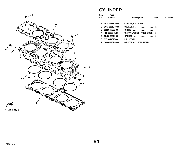

#### **CYLINDER**

| Ref. | Part            |                                 |     |                |
|------|-----------------|---------------------------------|-----|----------------|
| No.  | <b>Number</b>   | <b>Description</b>              | Qty | <b>Remarks</b> |
|      |                 |                                 |     |                |
|      | 3GM-11351-00-00 | GASKET, CYLINDER  1             |     |                |
| 2    | 3GM-11310-00-00 | <b>CYLINDER</b> 1               |     |                |
| 3    | 93210-77363-00  | 0-RING                          | 4   |                |
| 4    | 495-02306-01-20 | UNAVAILABLE IN PRICE BOOK       | -2  |                |
| 5.   | 90430-06014-00  | $GASKET$                        | 2   |                |
| 6    | 99510-14016-00  | <b>PIN, DOWEL</b> 2             |     |                |
|      | 3GM-11181-00-00 | <b>GASKET, CYLINDER HEAD 1.</b> |     |                |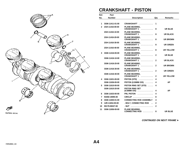

#### **CRANKSHAFT - PISTON**

| Ref.         | Part            |                                                                                   |              |                  |
|--------------|-----------------|-----------------------------------------------------------------------------------|--------------|------------------|
| No.          | <b>Number</b>   | <b>Description</b>                                                                | Qty          | <b>Remarks</b>   |
|              |                 |                                                                                   |              |                  |
| 1            | 3GM-11411-01-00 | CRANKSHAFT                                                                        | 1            |                  |
| $\mathbf{2}$ | 2GH-11416-00-00 | <b>PLANE BEARING,</b><br><b>CRANKSHAFT 1</b><br><u>.</u>                          | 8            | UR BLUE          |
|              | 2GH-11416-10-00 | <b>PLANE BEARING,</b><br><b>CRANKSHAFT 1</b><br>.                                 | 8            | UR BLACK         |
|              | 2GH-11416-20-00 | <b>PLANE BEARING,</b><br><b>CRANKSHAFT 1</b><br><u>.</u>                          | 8            | UR BROWN         |
|              | 2GH-11416-30-00 | <b>PLANE BEARING,</b><br><b>CRANKSHAFT 1</b><br>.                                 | 8            | UR GREEN         |
|              | 2GH-11416-40-00 | <b>PLANE BEARING,</b><br><b>CRANKSHAFT 1</b><br>.                                 | 8            | UR YELLOW        |
| 3            | 3GM-11416-00-00 | <b>PLANE BEARING,</b><br><b>CRANKSHAFT 1</b>                                      | $\mathbf 2$  | UR BLUE          |
|              | 3GM-11416-10-00 | <b>PLANE BEARING,</b><br><b>CRANKSHAFT 1</b><br><u>.</u>                          | $\mathbf{2}$ | <b>UR BLACK</b>  |
|              | 3GM-11416-20-00 | <b>PLANE BEARING,</b><br><b>CRANKSHAFT 1</b><br>.                                 | $\mathbf{2}$ | UR BROWN         |
|              | 3GM-11416-30-00 | <b>PLANE BEARING,</b><br><b>CRANKSHAFT 1</b><br>.                                 | $\mathbf{2}$ | <b>UR GREEN</b>  |
|              | 3GM-11416-40-00 | <b>PLANE BEARING,</b><br><b>CRANKSHAFT 1</b><br>.                                 | $\mathbf{2}$ | <b>UR YELLOW</b> |
| 4            | 3GM-11631-00-00 | PISTON (STD)                                                                      | 4            |                  |
|              | 3GM-11636-00-00 | PISTON (0.50MM O/S)                                                               | 4            | <b>AP</b>        |
| 5            | 3GM-11610-00-00 | PISTON RING SET (STD)                                                             | 4            |                  |
|              | 3GM-11610-20-00 | <b>PISTON RING SET</b><br>$(0.50MM \space O/S) \quad \ldots \ldots \ldots \ldots$ | 4            | <b>AP</b>        |
| 6            | 3GM-11633-00-00 | PIN, PISTON<br>.                                                                  | 4            |                  |
| 7            | 93450-19095-00  | $CIRCLIP$                                                                         | 8            |                  |
| 8            | 3GM-11650-01-00 | <b>CONNECTING ROD ASSEMBLY</b>                                                    | 4            |                  |
| 9            | 12R-11654-00-00 | . BOLT, CONNECTING ROD<br>$\sim$ .                                                | 2            |                  |
| 10           | 90179-08327-00  |                                                                                   | $\mathbf{2}$ |                  |
| 11           | 3GM-11656-00-00 | <b>PLANE BEARING,</b><br>CONNECTING ROD                                           | 8            | <b>UR BLUE</b>   |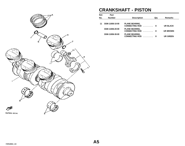<span id="page-4-0"></span>

## **CRANKSHAFT - PISTON**

| Ref. | Part            |                                                       |     |                 |
|------|-----------------|-------------------------------------------------------|-----|-----------------|
| No.  | <b>Number</b>   | <b>Description</b>                                    | Qtv | <b>Remarks</b>  |
|      | 3GM-11656-10-00 | <b>PLANE BEARING,</b>                                 |     |                 |
|      |                 | CONNECTING ROD                                        | - 8 | UR BLACK        |
|      | 3GM-11656-20-00 | <b>PLANE BEARING,</b><br><b>CONNECTING ROD</b><br>. 8 |     | <b>UR BROWN</b> |
|      | 3GM-11656-30-00 | <b>PLANE BEARING,</b><br><b>CONNECTING ROD</b><br>.   | - 8 | UR GREEN        |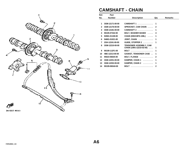

# **CAMSHAFT - CHAIN**

| Ref.         | Part            |                                                           |              |                |
|--------------|-----------------|-----------------------------------------------------------|--------------|----------------|
| No.          | <b>Number</b>   | <b>Description</b>                                        | Qty          | <b>Remarks</b> |
|              |                 |                                                           |              |                |
| 1            | 3GM-12171-00-00 | CAMSHAFT 1                                                | 1            |                |
| $\mathbf{2}$ | 3GM-12176-00-00 | SPROCKET, CAM CHAIN                                       | $\mathbf{2}$ |                |
| 3            | 3GM-12181-00-00 | <b>CAMSHAFT 2 </b>                                        | 1            |                |
| 4            | 90105-07342-00  | <b>BOLT, WASHER BASED</b>                                 | 4            |                |
| 5            | 94581-01108-00  | <b>CHAIN (DID219FS-108L)</b><br>$\cdots$                  | 1            |                |
| 6            | 94681-01021-00  | JOINT, CHAIN                                              | 1            |                |
| 7            | 2GH-12241-00-00 | GUIDE, STOPPER 2                                          | 1            |                |
| 8            | 3GM-12210-00-00 | <b>TENSIONER ASSEMBLY, CAM</b><br>CHAIN (1WG-12210-02-00) | 1            |                |
| 9            | 90109-112F1-00  | <b>BOLT</b>                                               | 1            |                |
| 10           | 4BE-12213-00-00 | <b>GASKET, TENSIONER CASE </b>                            | 1            |                |
| 11           | 95023-06025-00  | BOLT, FLANGE                                              | $\mathbf{2}$ |                |
| 12           | 3GM-12251-00-00 | DAMPER, CHAIN 1                                           | 1            |                |
| 13           | 3GM-12252-00-00 | DAMPER, CHAIN 2                                           | 1            |                |
| 14           | 90109-065A8-00  | <b>BOLT</b>                                               | 2            |                |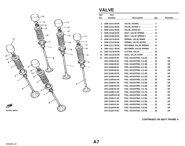

## **VALVE**

| Ref.         | Part            |                                                       |     |                |
|--------------|-----------------|-------------------------------------------------------|-----|----------------|
| No.          | <b>Number</b>   | <b>Description</b>                                    | Qty | <b>Remarks</b> |
|              |                 |                                                       |     |                |
| 1            | 3GM-12111-00-00 | VALVE, INTAKE                                         | 4   |                |
| $\mathbf{2}$ | 3GM-12112-00-00 | VALVE, INTAKE 2                                       | 8   |                |
| 3            | 3GM-12121-00-00 | VALVE, EXHAUST                                        | 8   |                |
| 4            | 3GM-12116-00-00 | SEAT, VALVE SPRING                                    | 12  |                |
| 5            | 3GM-12126-00-00 | SEAT, VALVE SPRING 2                                  | 8   |                |
| 6            | 3GM-12113-00-00 | SPRING, VALVE INNER                                   | 12  |                |
| 7            | 3GM-12114-00-00 | SPRING, VALVE OUTER                                   | 8   |                |
| 8            | 3GM-12117-00-00 | <b>RETAINER, VALVE SPRING</b><br>$\ddot{\phantom{a}}$ | 12  |                |
| 9            | 1WG-12117-00-00 | <b>RETAINER, VALVE SPRING</b><br>$\sim$ $\sim$        | 8   |                |
| 10           | 1WG-12118-00-00 | COTTER, VALVE                                         | 40  |                |
| 11           | 1WG-12119-00-00 | SEAL, VALVE STEM                                      | 20  |                |
| 12           | 1HX-12168-00-00 | PAD, ADJUSTING 2 (1.20)                               | 20  | <b>UR</b>      |
|              | 1HX-12168-20-00 | PAD, ADJUSTING 2 (1.25)                               | 20  | <b>UR</b>      |
|              | 1HX-12168-40-00 | PAD, ADJUSTING 2 (1.30)                               | 20  | <b>UR</b>      |
|              | 1HX-12168-60-00 | PAD, ADJUSTING 2 (1.35)                               | 20  | <b>UR</b>      |
|              | 1HX-12168-80-00 | PAD, ADJUSTING 2 (1.40)                               | 20  | <b>UR</b>      |
|              | 1HX-12168-A0-00 | PAD, ADJUSTING 2 (1.45)                               | 20  | <b>UR</b>      |
|              | 1HX-12168-F0-00 | PAD, ADJUSTING 2 (1.50)                               | 20  | <b>UR</b>      |
|              | 1HX-12168-H1-00 | PAD, ADJUSTING 2 (1.55)                               | 20  | <b>UR</b>      |
|              | 1HX-12168-K1-00 | PAD, ADJUSTING 2 (1.60)                               | 20  | <b>UR</b>      |
|              | 1HX-12168-M1-00 | PAD, ADJUSTING 2 (1.65)                               | 20  | <b>UR</b>      |
|              | 1HX-12168-R1-00 | PAD, ADJUSTING 2 (1.70)                               | 20  | <b>UR</b>      |
|              | 1HX-12168-U1-00 | PAD, ADJUSTING 2 (1.75)                               | 20  | <b>UR</b>      |
|              | 1HX-12168-W1-00 | PAD, ADJUSTING 2 (1.80)                               | 20  | <b>UR</b>      |
|              | 1HX-12168-Y1-00 | PAD, ADJUSTING 2 (1.85)                               | 20  | <b>UR</b>      |
|              | 1HX-12169-11-00 | PAD, ADJUSTING 2 (1.90)                               | 20  | <b>UR</b>      |
|              | 1HX-12169-31-00 | PAD, ADJUSTING 2 (1.95)                               | 20  | <b>UR</b>      |
|              | 1HX-12169-50-00 | PAD, ADJUSTING 2 (2.00)                               | 20  | <b>UR</b>      |
|              | 1HX-12169-70-00 | PAD, ADJUSTING 2 (2.05)                               | 20  | <b>UR</b>      |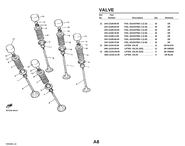<span id="page-7-0"></span>

# **VALVE**

| Ref.    | <b>Part</b>     |                             |     |                 |
|---------|-----------------|-----------------------------|-----|-----------------|
| No.     | <b>Number</b>   | <b>Description</b>          | Qty | <b>Remarks</b>  |
|         |                 |                             |     |                 |
| $12 \,$ | 1HX-12169-90-00 | PAD, ADJUSTING 2 (2.10)  20 |     | UR              |
|         | 1HX-12169-E0-00 | PAD, ADJUSTING 2 (2.15) 20  |     | UR.             |
|         | 1HX-12169-G0-00 | PAD, ADJUSTING 2 (2.20)  20 |     | <b>UR</b>       |
|         | 1HX-12169-J0-00 | PAD, ADJUSTING 2 (2.25)  20 |     | <b>UR</b>       |
|         | 1HX-12169-L0-00 | PAD, ADJUSTING 2 (2.30)     | -20 | <b>UR</b>       |
|         | 1HX-12169-N0-00 | PAD, ADJUSTING 2 (2.35)  20 |     | <b>UR</b>       |
|         | 1HX-12169-T0-00 | PAD, ADJUSTING 2 (2.40)  20 |     | <b>UR</b>       |
| 13      | 2NK-12153-02-00 | LIFTER, VALVE  12           |     | <b>UR BLACK</b> |
|         | 2NK-12153-09-00 | LIFTER, VALVE (O/S)  12     |     | <b>UR GREEN</b> |
| 14      | 1WG-12153-09-00 | LIFTER, VALVE (O/S)         | 8   | <b>UR GREEN</b> |
|         | 1WG-12153-21-00 | LIFTER, VALVE               | 8   | UR BLUE         |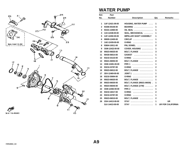

## **WATER PUMP**

| <b>Number</b>   | <b>Description</b>                 | Qty          | <b>Remarks</b>           |
|-----------------|------------------------------------|--------------|--------------------------|
|                 |                                    |              |                          |
| 1UF-12421-09-00 | <b>HOUSING, WATER PUMP </b>        | 1            |                          |
| 93306-00106-00  | BEARING                            | 1            |                          |
| 93101-12060-00  | OIL SEAL                           | 1            |                          |
| 11H-12438-00-00 | SEAL, MECHANICAL                   | 1            |                          |
| 1UF-12450-00-00 | <b>IMPELLER SHAFT ASSEMBLY</b>     | 1            |                          |
| 99009-12400-00  | CIRCLIP                            | 1            |                          |
| 1AE-12439-00-00 | 0-RING                             | 1            |                          |
| 93604-10011-00  | PIN, DOWEL                         | $\mathbf{2}$ |                          |
| 3GM-12422-00-00 | COVER, HOUSING                     | 1            |                          |
| 95023-06025-00  | BOLT, FLANGE                       | $\mathbf{3}$ |                          |
| 90430-06014-00  | <b>GASKET</b>                      | 1            |                          |
| 93210-33133-00  | <b>O-RING</b><br>.                 | 1            |                          |
| 95021-06050-00  | BOLT, FLANGE                       | $\mathbf{2}$ |                          |
| 3GM-12481-00-00 | PIPE <sub>1</sub><br>.             | 1            |                          |
| 93210-23787-00  | 0-RING                             | 2            |                          |
| 95023-06012-00  | BOLT, FLANGE                       | 1            |                          |
| 3DX-12469-00-00 | $JOINT 1$                          | 1            |                          |
| 93210-30694-00  | <b>O-RING</b><br>.                 | $\mathbf{2}$ |                          |
| 95023-06020-00  | BOLT, FLANGE                       | 1            |                          |
| 95023-06030-00  | <b>BOLT, FLANGE (95021-06030).</b> | 1            |                          |
| 95023-06040-00  | BOLT, FLANGE (1YW)                 | $\mathbf{2}$ |                          |
| 3GM-12482-00-00 |                                    | 1            |                          |
| 93210-18417-00  | <b>O-RING</b><br>.                 | $\mathbf{2}$ |                          |
| 93210-23787-00  | <b>O-RING</b><br>.                 | 1            |                          |
| 95023-06010-00  | BOLT, FLANGE                       | $\mathbf{2}$ |                          |
| 2GH-14413-00-00 | <b>STAY</b>                        | 1            | <b>UR</b>                |
| 3LK-14413-00-00 | <b>STAY</b>                        | 1            | <b>UR FOR CALIFORNIA</b> |
|                 |                                    |              |                          |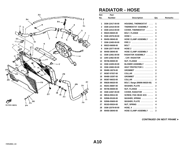

#### **RADIATOR - HOSE**

| Ref. | Part            |                                                  |                         |                |
|------|-----------------|--------------------------------------------------|-------------------------|----------------|
| No.  | <b>Number</b>   | <b>Description</b>                               | Qty                     | <b>Remarks</b> |
|      |                 |                                                  |                         |                |
| 1    | 3GM-12417-00-00 | <b>HOUSING, THERMOSTAT </b>                      | 1                       |                |
| 2    | 3GM-12410-00-00 | THERMOSTAT ASSEMBLY                              | 1                       |                |
| 3    | 3GM-12413-00-00 | COVER, THERMOSTAT                                | 1                       |                |
| 4    | 95023-06025-00  | BOLT, FLANGE                                     | $\mathbf{2}$            |                |
| 5    | 3GM-12576-00-00 | $HOSE 1$                                         | 1                       |                |
| 6    | 90450-38040-00  | HOSE CLAMP ASSEMBLY                              | 2                       |                |
| 7    | 3GM-12483-00-00 |                                                  | 1                       |                |
| 8    | 95023-06008-00  | BOLT $\ldots \ldots \ldots \ldots \ldots \ldots$ | 2                       |                |
| 9    | 3GM-12577-00-00 | HOSE 2                                           | 1                       |                |
| 10   | 90450-38040-00  | HOSE CLAMP ASSEMBLY                              | $\mathbf{2}$            |                |
| 11   | 3GM-12461-00-00 | RADIATOR ASSEMBLY                                | 1                       |                |
| 12   | 22W-12462-00-00 | . CAP, RADIATOR                                  | 1                       |                |
| 13   | 95706-06500-00  | NUT, FLANGE                                      | 3                       |                |
| 14   | 3GM-12405-00-00 | BLOWER ASSEMBLY                                  | 1                       |                |
| 15   | 3GM-12682-00-00 | HEAT PROTECTOR 1                                 | 1                       |                |
| 16   | 90480-18276-00  | GROMMET                                          | $\mathbf{2}$            |                |
| 17   | 90387-07037-00  | $COLLAR$                                         | $\mathbf{2}$            |                |
| 18   | 90480-10297-00  | GROMMET                                          | $\mathbf{2}$            |                |
| 19   | 90387-06033-00  | $COLLAR$                                         | $\mathbf{2}$            |                |
| 20   | 95826-06020-00  | BOLT, flange (95806-06020-00)                    | 4                       |                |
| 21   | 90201-06697-00  | WASHER, PLATE                                    | $\mathbf{2}$            |                |
| 22   | 95706-06500-00  | NUT, FLANGE                                      | 1                       |                |
| 23   | 3GM-12467-00-00 | COVER, RADIATOR                                  | 1                       |                |
| 24   | 98516-05012-00  | <b>SCREW, PAN HEAD 4CG </b>                      | 4                       |                |
| 25   | 92906-05100-00  | WASHER, SPRING                                   | 4                       |                |
| 26   | 92906-05600-00  | WASHER, PLATE                                    | 4                       |                |
| 27   | 90183-05024-00  | NUT, SPRING                                      | $\overline{\mathbf{4}}$ |                |
| 28   | 3GM-12579-00-00 | $HOSE, 4 \ldots \ldots \ldots \ldots$            | $\mathbf 1$             |                |
| 29   | 90450-38040-00  | <b>HOSE CLAMP ASSEMBLY</b><br>$\sim 100$         | $\mathbf{2}$            |                |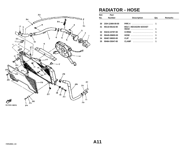<span id="page-10-0"></span>

#### **RADIATOR - HOSE**

| Ref.            | Part            |                                            |     |                |
|-----------------|-----------------|--------------------------------------------|-----|----------------|
| No.             | <b>Number</b>   | <b>Description</b>                         | Qty | <b>Remarks</b> |
|                 |                 |                                            |     |                |
| 30              | 2GH-12484-00-00 |                                            |     |                |
| 31              | 90110-06142-00  | <b>BOLT, HEXAGON SOCKET</b><br><b>HFAD</b> |     |                |
| 32 <sub>2</sub> | 93210-23787-00  | 0-RING                                     |     |                |
| 33              | 90445-096E8-00  | HOSE  1                                    |     |                |
| 34              | 90467-08003-00  | <b>CLIP</b>                                | 2   |                |
| 35              | 90464-35047-00  | <b>CLAMP</b><br>.                          |     |                |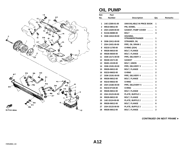

#### **OIL PUMP**

| Ref.         | Part            |                            |              |                |
|--------------|-----------------|----------------------------|--------------|----------------|
| No.          | <b>Number</b>   | <b>Description</b>         | Qty          | <b>Remarks</b> |
| 1            | 1AE-13300-01-00 | UNAVAILABLE IN PRICE BOOK  | 1            |                |
| $\mathbf{2}$ | 99510-08012-00  | PIN, DOWEL<br>. <b>.</b>   | 1            |                |
| 3            | 2GH-13329-00-00 | <b>GASKET, PUMP COVER </b> | 1            |                |
| 4            | 91316-06080-00  | <b>BOLT</b>                | 3            |                |
| 5            | 3GM-13412-00-00 | HOUSING,                   |              |                |
|              |                 | STRAINERSTRAINER           | 1            |                |
| 6            | 3GM-13411-00-00 | STRAINER, OIL              | 1            |                |
| 7            | 2GH-13431-00-00 | PIPE, OIL DRAIN 1          | 1            |                |
| 8            | 93210-11765-00  | O-RING (2GH)               | $\mathbf{2}$ |                |
| 9            | 95026-06010-00  | BOLT, FLANGE               | 1            |                |
| 10           | 95026-06030-00  | BOLT, FLANGE               | $\mathbf{2}$ |                |
| 11           | 3GM-13171-00-00 | PIPE, DELIVERY 2           | 1            |                |
| 12           | 90430-10171-00  | <b>GASKET</b>              | 6            |                |
| 13           | 90401-10139-00  | BOLT, UNION                | 3            |                |
| 14           | 3GM-13181-00-00 | PIPE, DELIVERY 3           | 1            |                |
| 15           | 95026-06012-00  | BOLT, FLANGE               | 1            |                |
| 16           | 93210-06632-00  | <b>O-RING</b><br>.         | $\mathbf{2}$ |                |
| 17           | 3GM-13191-00-00 | PIPE, DELIVERY 4           | 1            |                |
| 18           | 95026-06012-00  | BOLT, FLANGE               | 1            |                |
| 19           | 93210-06632-00  | <b>O-RING</b>              | 2            |                |
| 20           | 2GH-1316E-00-00 | PIPE, DELEVERY 5           | 1            |                |
| 21           | 93210-07135-00  | .<br><b>O-RING</b>         | $\mathbf{2}$ |                |
| 22           | 95026-06012-00  | BOLT, FLANGE               | 1            |                |
| 23           | 2GH-15123-00-00 | PLATE, BUFFLE 1            | 1            |                |
| 24           | 95026-06012-00  | BOLT, FLANGE               | 2            |                |
| 25           | 1AE-15124-00-00 | PLATE, BUFFLE 2            | $\mathbf{2}$ |                |
| 26           | 95026-06012-00  | BOLT, FLANGE               | 6            |                |
| 27           | 2GH-15133-00-00 | PLATE, BUFFLE 3            | 1            |                |
| 28           | 95026-06012-00  | BOLT, FLANGE               | 2            |                |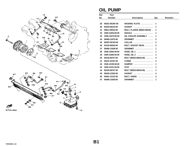<span id="page-12-0"></span>

## **OIL PUMP**

| Ref. | Part            |                                  |              |                |
|------|-----------------|----------------------------------|--------------|----------------|
| No.  | <b>Number</b>   | <b>Description</b>               | Qty          | <b>Remarks</b> |
|      |                 |                                  |              |                |
| 29   | 90201-061M7-00  | WASHER, PLATE                    | 1            |                |
| 30   | 90430-06210-00  | <b>GASKET</b><br>.               | 1            |                |
| 31   | 95811-06016-00  | BOLT, FLANGE (95822-06016) .     | 1            |                |
| 32   | 3GM-13454-00-00 |                                  | 1            |                |
| 33   | 3GM-13470-00-00 | OIL COOLER ASSEMBLY              | 1            |                |
| 34   | 90480-12475-00  | GROMMET                          | $\mathbf{2}$ |                |
| 35   | 90387-067K8-00  | <b>COLLAR</b><br>.               | $\mathbf{2}$ |                |
| 36   | 91316-06020-00  | BOLT, SOCKET HEAD                | $\mathbf{2}$ |                |
| 37   | 90480-13428-00  | <b>GROMMET</b>                   | 1            |                |
| 38   | 3GM-13464-00-00 | HOSE, OIL 1 $\ldots$             | 1            |                |
| 39   | 3GM-13465-00-00 | HOSE, OIL $2$                    | 1            |                |
| 40   | 90105-06707-00  | BOLT (95023-06016-00)            | 4            |                |
| 41   | 93210-10197-00  | <b>O-RING</b><br>.               | $\mathbf{2}$ |                |
| 42   | 3GM-13159-00-00 | DAMPER $\ldots$ ,,,,,,,,,,,,,,,, | 1            |                |
| 43   | 3GM-13151-00-00 | <b>STAY</b>                      | 1            |                |
| 44   | 90105-06707-00  | BOLT (95023-06016-00)            | 1            |                |
| 45   | 90430-12202-00  | <b>GASKET</b>                    | 4            |                |
| 46   | 90401-12122-00  | BOLT, UNION                      | $\mathbf{2}$ |                |
| 47   | 90480-13428-00  | <b>GROMMET</b><br>.              | 1            |                |
|      |                 |                                  |              |                |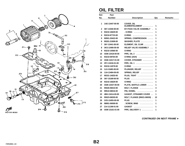

# **OIL FILTER**

| Ref. | Part            |                                    |              |                |
|------|-----------------|------------------------------------|--------------|----------------|
| No.  | <b>Number</b>   | <b>Description</b>                 | Qty          | <b>Remarks</b> |
| 1    | 1AE-13447-00-00 |                                    |              |                |
|      |                 | COVER, OIL<br>ELEMENTELEMENT       | 1            |                |
| 2    | 36Y-13340-00-00 | <b>BY-PASS VALVE ASSEMBLY</b> .    | 1            |                |
| 3    | 93210-16629-00  | . O-RING<br>.                      | 1            |                |
| 4    | 93210-87723-00  | <b>O-RING</b><br>.                 | 1            |                |
| 5    | 90501-20422-00  | <b>SPRING, COMPRESSION </b>        | 1            |                |
| 6    | 90201-21608-00  | WASHER, PLATE                      | 1            |                |
| 7    | 36Y-13441-00-00 | ELEMENT, OIL CLNR                  | 1            |                |
| 8    | 3KS-13490-00-00 | <b>RELIEF VALVE ASSEMBLY </b>      | 1            |                |
| 9    | 93210-15566-00  | 0-RING                             | 1            |                |
| 10   | 3GM-13418-00-00 | PIPE, OIL 2                        | 1            |                |
| 11   | 93210-08764-00  | O-RING (2GH)                       | $\mathbf{2}$ |                |
| 12   | 3GM-13417-01-00 | COVER, STRAINER                    | 1            |                |
| 13   | 3FV-13416-01-00 | PIPE, OIL 1                        | 1            |                |
| 14   | 93210-14579-00  | 0-RING                             | $\mathbf{2}$ |                |
| 15   | 1L9-13483-00-00 | PLUNGER, RELIEF                    | 1            |                |
| 16   | 11H-13484-00-00 | SPRING, RELIEF                     | 1            |                |
| 17   | 90331-14025-00  | PLUG, TIGHT                        | 1            |                |
| 18   | 36Y-15189-00-00 |                                    | 1            |                |
| 19   | 93210-16629-00  | 0-RING                             | 1            |                |
| 20   | 3GM-13337-00-00 | PLATE, BAFFLE LOWER                | 1            |                |
| 21   | 95026-06010-00  | BOLT, FLANGE                       | 4            |                |
| 22   | 99510-08016-00  | PIN, DOWEL                         | 2            |                |
| 23   | 4BH-13414-00-00 | <b>GASKET, STRAINER COVER </b>     | 1            |                |
| 24   | 95023-06030-00  | <b>BOLT, FLANGE (95021-06030).</b> | 12           |                |
| 25   | 3VD-13455-00-00 | PLUG                               | 1            |                |
| 26   | 98901-06008-00  | $SCREW, BIND$                      | 1            |                |
| 27   | 214-11198-01-00 | GASKET                             | 1            |                |
| 28   | 3GM-13161-01-00 | PIPE, DELIVERY 1                   | 1            |                |
|      |                 |                                    |              |                |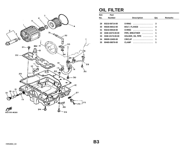<span id="page-14-0"></span>

# **OIL FILTER**

| Ref. | Part            |                     |     |                |
|------|-----------------|---------------------|-----|----------------|
| No.  | <b>Number</b>   | <b>Description</b>  | Qty | <b>Remarks</b> |
|      |                 |                     |     |                |
| 29   | 93210-06714-00  | 0-RING              | -3  |                |
| 30   | 95026-06012-00  | BOLT, FLANGE  3     |     |                |
| 31   | 93210-09418-00  | 0-RING  1           |     |                |
| 32   | 3GM-15373-00-00 | PIPE, BREATHER  1   |     |                |
| 33   | 3GM-13174-00-00 | HOLDER, OIL PIPE  1 |     |                |
| 34   | 99009-10400-00  | CIRCLIP 1           |     |                |
| 35   | 90465-08076-00  | .<br><b>CLAMP</b>   |     |                |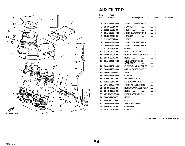

#### **AIR FILTER**

| Ref.              | Part            |                                        |     |                |
|-------------------|-----------------|----------------------------------------|-----|----------------|
| No.               | <b>Number</b>   | <b>Description</b>                     | Qty | <b>Remarks</b> |
|                   |                 |                                        |     |                |
| 1                 | 3GM-13586-00-00 | <b>JOINT, CARBURETOR 1</b><br>$\cdots$ | 2   |                |
| 2                 | 90430-06014-00  |                                        | 1   |                |
| 3                 | 91312-06012-00  | .BOLT                                  | 1   |                |
| 4                 | 3GM-13596-00-00 | JOINT, CARBURETOR 2                    | 2   |                |
| 5                 | 90430-06014-00  | .GASKET                                | 1   |                |
| 6                 | 91312-06012-00  | .BOLT                                  | 1   |                |
| 7                 | 3GM-13597-00-00 | <b>JOINT, CARBURETOR 3</b><br>$\cdots$ | 2   |                |
| 8                 | 3GM-13598-00-00 | JOINT, CARBURETOR 4                    | 2   |                |
| 9                 | 93210-44545-00  | <b>O-RING</b><br>.                     | 4   |                |
| 10                | 91316-06020-00  | <b>BOLT, SOCKET HEAD </b>              | 8   |                |
| 11                | 90450-57034-00  | HOSE CLAMP ASSEMBLY                    | 8   |                |
| $12 \overline{ }$ | 90445-08740-00  | HOSE                                   | 1   |                |
| 13                | 3GM-14401-00-00 | <b>AIR CLEANER CASE</b><br>ASSEMBLY    | 1   |                |
| 14                | 3GM-14451-00-00 | ELEMENT, AIR CLEANER                   | 1   |                |
| 15                | 3GM-14422-00-00 | CAP, CLEANER CASE 2                    | 1   |                |
| 16                | 36F-14457-00-00 | <b>SEAL</b>                            | 1   |                |
| 17                | 3GM-14443-00-00 | COLLAR                                 | 1   |                |
| 18                | 92990-06600-00  | WASHER, PLATE                          | 1   |                |
| 19                | 92511-06140-00  | SCREW, PAN HEAD                        | 1   |                |
| 20                | 3GM-14453-00-00 | JOINT, AIR CLEANER 1                   | 4   |                |
| 21                | 90450-67033-00  | <b>HOSE CLAMP ASSEMBLY </b>            | 4   |                |
| 22                | 90445-11288-00  | HOSE                                   | 1   |                |
| 23                | 4X7-2149Y-00-00 | FILTER ASSEMBLY                        | 1   |                |
| 24                | 90445-114E2-00  | HOSE                                   | 1   |                |
| 25                | 90467-10008-00  | <b>CLIP</b>                            | 3   |                |
| 26                | 3GM-14432-00-00 | SILENCER, INNER                        | 1   |                |
| 27                | 90480-14023-00  | <b>GROMMET</b>                         | 1   |                |
| 28                | 90387-060M9-00  | COLLAR                                 | 1   |                |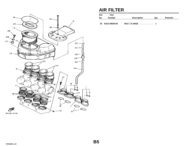<span id="page-16-0"></span>

#### **AIR FILTER**

| Ref.<br>No. | Part<br><b>Number</b> | <b>Description</b> | Qtv | Remarks |
|-------------|-----------------------|--------------------|-----|---------|
| 29          | 91012-06030-00        | BOLT, FLANGE  1    |     |         |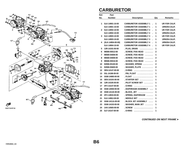

## **CARBURETOR**

| Ref.         | Part              |                                |              |                      |
|--------------|-------------------|--------------------------------|--------------|----------------------|
| No.          | <b>Number</b>     | <b>Description</b>             | Qty          | <b>Remarks</b>       |
|              |                   |                                |              |                      |
| 1            | 3LK-14901-10-00   | <b>CARBURETOR ASSEMBLY 1</b>   | 1            | <b>UR FOR CALIF.</b> |
|              | 3LK-14901-10-00   | <b>CARBURETOR ASSEMBLY 1</b>   | 1            | <b>URNON-CALIF.</b>  |
| $\mathbf{2}$ | 3LK-14902-10-00   | <b>CARBURETOR ASSEMBLY 2</b>   | 1            | <b>UR FOR CALIF.</b> |
|              | 3LK-14902-10-00   | <b>CARBURETOR ASSEMBLY 2</b>   | 1            | URNON-CALIF.         |
| 3            | 3LK-14903-10-00   | <b>CARBURETOR ASSEMBLY 3</b>   | 1            | <b>UR FOR CALIF.</b> |
|              | 3LK-14903-10-00   | <b>CARBURETOR ASSEMBLY 3</b>   | 1            | <b>URNON-CALIF.</b>  |
| 4            | (3LK-14904-00-00) | <b>CARBURETOR ASSEMBLY 4</b>   | 1            | <b>URNON-CALIF.</b>  |
|              | 3LK-14904-10-00   | <b>CARBURETOR ASSEMBLY 4 .</b> | 1            | <b>UR FOR CALIF.</b> |
| 5.           | 12R-14191-00-00   | PLUG, DRAIN                    | 1            |                      |
| 6            | 98580-05012-00    | . SCREW, PAN HEAD              | $\mathbf{2}$ |                      |
| 7            | 98580-04008-00    | . SCREW, PAN HEAD<br>.         | 1            |                      |
| 8            | 98580-04008-00    | . SCREW, PAN HEAD<br>.         | $\mathbf{2}$ |                      |
| 9            | 98586-05016-00    | . SCREW, PAN HEAD<br>.         | 2            |                      |
| 10           | 92906-05100-00    | . WASHER, SPRING               | $\mathbf{2}$ |                      |
| 11           | 92906-05600-00    | . WASHER, PLATE                | $\mathbf{2}$ |                      |
| 12           | 3EN-14147-00-00   | . O-RING                       | 1            |                      |
| 13           | 53L-14186-00-00   | . PIN, FLOAT                   | 1            |                      |
| 14           | 3GM-14985-00-00   |                                | 1            |                      |
| 15           | 3EN-1410A-00-00   | STARTER SET                    | 1            |                      |
| 16           | 12R-14105-00-00   | . PILOT SCREW SET              | 1            |                      |
| 17           | 3FV-14147-00-00   | . O-RING                       | 1            |                      |
| 18           | 3GM-14940-00-00   | . DIAPHRAGM ASSEMBLY           | 1            |                      |
| 19           | 3GM-1411E-00-00   | . BLOCK, JET                   | 1            |                      |
| 20           | 3FV-14933-00-00   | . SPRING, DIAPHRAGM            | 1            |                      |
| 21           | 3LK-1490J-00-00   | . NEEDLE SET                   | 1            |                      |
| 22           | 3GM-1411A-00-00   | . BLOCK JET ASSEMBLY           | 1            |                      |
| 23           | 3GM-14153-00-00   | . WASHER, MAIN JET             | 1            |                      |
| 24           | 1HX-14565-00-00   | . SCREW                        | 1            |                      |
| 25           | 3LF-14147-00-00   | . O-RING<br>.                  | 1            |                      |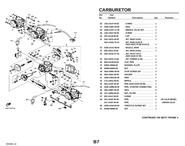<span id="page-18-0"></span>

## **CARBURETOR**

| Ref. | Part            |                                                      |             |                       |
|------|-----------------|------------------------------------------------------|-------------|-----------------------|
| No.  | <b>Number</b>   | <b>Description</b>                                   | Qty         | <b>Remarks</b>        |
|      |                 |                                                      |             |                       |
| 26   | 1AE-14147-00-00 | . O-RING<br>.                                        | 1           |                       |
| 27   | 3GM-14997-00-00 | .SEAL                                                | 1           |                       |
| 28   | 3GM-14107-17-00 | . NEEDLE VALVE SET                                   | 1           |                       |
| 29   | 1AE-14227-00-00 | . O-RING<br>.                                        | 1           |                       |
| 30   | 3F9-14118-00-00 | .CAP                                                 | 1           |                       |
| 31   | 3G2-14231-25-00 | . JET, MAIN $(#125)$                                 | 1           |                       |
|      | 3G2-1423A-75-A1 | . JET, MAIN (#122.5)<br>$(3G2-14231-75-00)$ (#122.5) | 1           |                       |
| 32   | 3GM-14141-90-00 | $. NoZZLE, MAIN$                                     | 1           |                       |
| 33   | 830-14231-25-00 | . JET, MAIN $(#125)$                                 | 1           |                       |
| 34   | 4G0-14142-37-A0 | . JET, PILOT #37.5<br>$(4G0-14142-37-00)$            | 1           |                       |
| 35   | 3G2-14231-12-00 | . JET, POWER $(# 60)$                                | 1           |                       |
| 36   | 8U9-14139-00-00 | <b>CLIP, PIPE</b>                                    | 2           |                       |
| 37   | 92901-05600-00  | WASHER, PLATE                                        | 1           |                       |
| 38   | 95380-05600-00  | NUT                                                  | 1           |                       |
| 39   | 3EN-1490K-00-00 | STOP SCREW SET                                       | 3           |                       |
| 40   | 3EN-14261-00-00 | <b>HOLDER</b><br>.                                   | 2           |                       |
| 41   | 3GM-14918-00-00 | <b>RING</b>                                          | 1           |                       |
| 42   | 17A-14251-00-00 | <b>NIPPLE</b><br>.                                   | $\mathbf 2$ |                       |
| 43   | 4G0-14197-00-00 | PIPE (2GH-14197-00-00)                               | 1           |                       |
| 44   | 3GM-14988-00-00 | PIPE, STARTER CONNECTING                             | 2           |                       |
| 45   | 3EN-14997-00-00 | <b>SEAL</b>                                          | 6           |                       |
| 46   | 1KT-14994-00-00 | NET, FILTER                                          | 1           |                       |
| 47   | 822-14147-00-00 | <b>O-RING</b><br>.                                   | 4           |                       |
| 48   | 3FV-14197-00-00 | <b>PIPE</b>                                          | 1           | <b>UR CALIF.MODEL</b> |
|      | 3LF-14197-00-00 | <b>PIPE</b><br>.                                     | 1           | URNON-CALIF.          |
| 49   | 3GM-14103-00-00 | THROTTLE SCREW SET                                   | 1           |                       |
| 51   | 95380-06600-00  |                                                      | 1           |                       |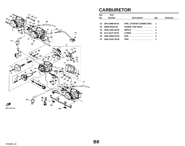<span id="page-19-0"></span>

## **CARBURETOR**

| Ref.         | Part            |                          |     |                |
|--------------|-----------------|--------------------------|-----|----------------|
| No.          | <b>Number</b>   | <b>Description</b>       | Qty | <b>Remarks</b> |
|              |                 |                          |     |                |
| $52^{\circ}$ | 3EN-14988-00-00 | PIPE, STARTER CONNECTING | 1   |                |
| 53           | 98580-05010-00  | SCREW, PAN HEAD  1       |     |                |
| 54           | 3GM-14251-00-00 | NIPPLE  2                |     |                |
| 55           | 3LK-14147-00-00 | 0-RING  4                |     |                |
| 56           | 3GM-14992-00-00 | <b>ROD</b>               |     |                |
| 57           | 3GM-14197-00-00 | <b>PIPE</b><br>.         |     |                |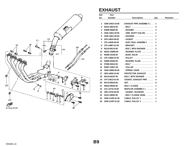

#### **EXHAUST**

| Ref.         | Part            |                                 |             |                |
|--------------|-----------------|---------------------------------|-------------|----------------|
| No.          | <b>Number</b>   | <b>Description</b>              | Qty         | <b>Remarks</b> |
|              |                 |                                 |             |                |
| 1            | 3GM-14610-10-00 | <b>EXHAUST PIPE ASSEMBLY L.</b> | 1           |                |
| $\mathbf{2}$ | 90101-06576-00  | .BOLT                           | 4           |                |
| 3            | 92906-06600-00  | . WASHER                        | 4           |                |
| 4            | 3GM-14821-00-00 | . ARM, SHAFT (VALVE)            | 1           |                |
| 5            | 3GM-14811-00-00 | . HOUSING                       | 1           |                |
| 6            | 3FH-14815-00-00 |                                 | 1           |                |
| 7            | 2TK-14845-00-00 | . DUST SEAL ASSEMBLY            | 1           |                |
| 8            | 2TK-14867-01-00 | <b>. BRACKET</b>                | 1           |                |
| 9            | 90119-06115-00  | . BOLT, WITH WASHER             | 3           |                |
| 10           | 90201-106M5-00  | . WASHER, PLATE                 | 1           |                |
| 11           | 90380-10195-00  | . BUSH, SOLID                   | $\mathbf 2$ |                |
| $12 \,$      | 2TK-14865-01-00 | . PULLEY                        | 1           |                |
| 13           | 92990-05200-00  | . WASHER, PLAIN                 | 1           |                |
| 14           | 97080-05012-00  | .BOLT                           | 1           |                |
| 15           | 90387-106U7-00  | $COLLAR$                        | 1           |                |
| 16           | 3GM-14683-00-00 | $.$ SPRING, HOOK $.$            | 1           |                |
| 17           | 3EN-14826-10-00 | <b>PROTECTOR, EXHAUST </b>      | 1           |                |
| 18           | 90119-06187-00  | <b>BOLT, WITH WASHER </b>       | 3           |                |
| 19           | 3YF-14613-01-00 | <b>GASKET, EXHAUST PIPE </b>    | 4           |                |
| 20           | 90179-08410-00  |                                 | 8           |                |
| 21           | 95816-08035-00  | BOLT, FLANGE                    | 1           |                |
| 22           | 3LK-14710-10-00 | MUFFLER ASSEMBLY L              | 1           |                |
| 23           | 3HE-14755-00-00 | . GASKET, SILENCER              | 1           |                |
| 24           | 91011-08025-00  | . BOLT, FLANGE (3GM)            | 1           |                |
| 25           | 3GM-1133E-01-00 | CABLE, PULLEY 1                 | 1           |                |
| 26           | 3GM-1133F-01-00 | CABLE, PULLEY 2                 | 1           |                |
|              |                 |                                 |             |                |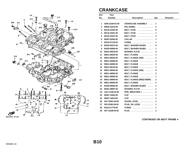

## **CRANKCASE**

| <b>Number</b><br><b>Description</b><br><b>Remarks</b><br>Qty<br>1<br>3GM-15100-01-00<br><b>CRANKCASE ASSEMBLY </b><br>1<br>2<br>99530-10014-00<br>PIN, DOWEL<br>$\mathbf{2}$<br>.<br><b>BOLT, STUD</b><br>3<br>90116-10532-00<br>8<br>.<br>4<br>90116-10531-00<br><b>BOLT, STUD</b><br>1<br><b>BOLT, STUD</b><br>5<br>90116-10537-00<br>3<br>90387-05383-00<br><b>COLLAR</b><br>.<br>6<br>1<br>7<br>93210-07135-00<br>0-RING<br>1<br>90105-09373-00<br><b>BOLT, WASHER BASED </b><br>8<br>9<br>9<br>90105-09580-00<br><b>BOLT, WASHER BASED </b><br>1<br>WASHER, PLATE<br>10<br>90201-096J9-00<br>4<br>11<br>95811-06035-00<br>BOLT, FLANGE<br>1<br>12<br>BOLT, FLANGE (JN5)<br>95811-08045-00<br>1<br>13<br>BOLT, FLANGE<br>95811-06060-00<br>2<br>14<br>BOLT, FLANGE<br>3<br>95811-06080-00<br>15<br>BOLT, FLANGE<br>95811-06140-00<br>1<br>16<br>BOLT, FLANGE (JN5)<br>9<br>95811-08045-00<br>17<br>$\mathbf{2}$<br>95811-08055-00<br>BOLT, FLANGE<br>1<br>18<br>95811-08065-00<br><b>BOLT, FLANGE</b><br>.<br>19<br>95811-08090-00<br><b>BOLT, FLANGE (95822-08090).</b><br>2<br>20<br>BOLT, FLANGE<br>$\mathbf{2}$<br>95811-08060-00<br><b>BOLT, WASHER BASED </b><br>1<br>21<br>90105-09555-00<br>22<br>WASHER, PLATE<br>1<br>90201-08087-00<br>PIPE, BREATHER 1<br>23<br>1AE-11166-00-00<br>1<br>24<br>90467-15054-00<br><b>CLIP</b><br>1<br>25<br><b>CLIP</b><br>90467-14015-00<br>1<br>GAUGE, LEVEL<br>26<br>2H7-15361-00-00<br>1<br>27<br>PLUG, OIL LEVEL<br>3F9-15362-00-00<br>1<br>0-RING<br>28<br>93210-27778-00<br>1<br>29<br>4H7-15189-00-00<br>PLUG<br>2 | Ref. | Part |  |  |
|--------------------------------------------------------------------------------------------------------------------------------------------------------------------------------------------------------------------------------------------------------------------------------------------------------------------------------------------------------------------------------------------------------------------------------------------------------------------------------------------------------------------------------------------------------------------------------------------------------------------------------------------------------------------------------------------------------------------------------------------------------------------------------------------------------------------------------------------------------------------------------------------------------------------------------------------------------------------------------------------------------------------------------------------------------------------------------------------------------------------------------------------------------------------------------------------------------------------------------------------------------------------------------------------------------------------------------------------------------------------------------------------------------------------------------------------------------------------------------------------------------------------------------------------------------------------------|------|------|--|--|
|                                                                                                                                                                                                                                                                                                                                                                                                                                                                                                                                                                                                                                                                                                                                                                                                                                                                                                                                                                                                                                                                                                                                                                                                                                                                                                                                                                                                                                                                                                                                                                          | No.  |      |  |  |
|                                                                                                                                                                                                                                                                                                                                                                                                                                                                                                                                                                                                                                                                                                                                                                                                                                                                                                                                                                                                                                                                                                                                                                                                                                                                                                                                                                                                                                                                                                                                                                          |      |      |  |  |
|                                                                                                                                                                                                                                                                                                                                                                                                                                                                                                                                                                                                                                                                                                                                                                                                                                                                                                                                                                                                                                                                                                                                                                                                                                                                                                                                                                                                                                                                                                                                                                          |      |      |  |  |
|                                                                                                                                                                                                                                                                                                                                                                                                                                                                                                                                                                                                                                                                                                                                                                                                                                                                                                                                                                                                                                                                                                                                                                                                                                                                                                                                                                                                                                                                                                                                                                          |      |      |  |  |
|                                                                                                                                                                                                                                                                                                                                                                                                                                                                                                                                                                                                                                                                                                                                                                                                                                                                                                                                                                                                                                                                                                                                                                                                                                                                                                                                                                                                                                                                                                                                                                          |      |      |  |  |
|                                                                                                                                                                                                                                                                                                                                                                                                                                                                                                                                                                                                                                                                                                                                                                                                                                                                                                                                                                                                                                                                                                                                                                                                                                                                                                                                                                                                                                                                                                                                                                          |      |      |  |  |
|                                                                                                                                                                                                                                                                                                                                                                                                                                                                                                                                                                                                                                                                                                                                                                                                                                                                                                                                                                                                                                                                                                                                                                                                                                                                                                                                                                                                                                                                                                                                                                          |      |      |  |  |
|                                                                                                                                                                                                                                                                                                                                                                                                                                                                                                                                                                                                                                                                                                                                                                                                                                                                                                                                                                                                                                                                                                                                                                                                                                                                                                                                                                                                                                                                                                                                                                          |      |      |  |  |
|                                                                                                                                                                                                                                                                                                                                                                                                                                                                                                                                                                                                                                                                                                                                                                                                                                                                                                                                                                                                                                                                                                                                                                                                                                                                                                                                                                                                                                                                                                                                                                          |      |      |  |  |
|                                                                                                                                                                                                                                                                                                                                                                                                                                                                                                                                                                                                                                                                                                                                                                                                                                                                                                                                                                                                                                                                                                                                                                                                                                                                                                                                                                                                                                                                                                                                                                          |      |      |  |  |
|                                                                                                                                                                                                                                                                                                                                                                                                                                                                                                                                                                                                                                                                                                                                                                                                                                                                                                                                                                                                                                                                                                                                                                                                                                                                                                                                                                                                                                                                                                                                                                          |      |      |  |  |
|                                                                                                                                                                                                                                                                                                                                                                                                                                                                                                                                                                                                                                                                                                                                                                                                                                                                                                                                                                                                                                                                                                                                                                                                                                                                                                                                                                                                                                                                                                                                                                          |      |      |  |  |
|                                                                                                                                                                                                                                                                                                                                                                                                                                                                                                                                                                                                                                                                                                                                                                                                                                                                                                                                                                                                                                                                                                                                                                                                                                                                                                                                                                                                                                                                                                                                                                          |      |      |  |  |
|                                                                                                                                                                                                                                                                                                                                                                                                                                                                                                                                                                                                                                                                                                                                                                                                                                                                                                                                                                                                                                                                                                                                                                                                                                                                                                                                                                                                                                                                                                                                                                          |      |      |  |  |
|                                                                                                                                                                                                                                                                                                                                                                                                                                                                                                                                                                                                                                                                                                                                                                                                                                                                                                                                                                                                                                                                                                                                                                                                                                                                                                                                                                                                                                                                                                                                                                          |      |      |  |  |
|                                                                                                                                                                                                                                                                                                                                                                                                                                                                                                                                                                                                                                                                                                                                                                                                                                                                                                                                                                                                                                                                                                                                                                                                                                                                                                                                                                                                                                                                                                                                                                          |      |      |  |  |
|                                                                                                                                                                                                                                                                                                                                                                                                                                                                                                                                                                                                                                                                                                                                                                                                                                                                                                                                                                                                                                                                                                                                                                                                                                                                                                                                                                                                                                                                                                                                                                          |      |      |  |  |
|                                                                                                                                                                                                                                                                                                                                                                                                                                                                                                                                                                                                                                                                                                                                                                                                                                                                                                                                                                                                                                                                                                                                                                                                                                                                                                                                                                                                                                                                                                                                                                          |      |      |  |  |
|                                                                                                                                                                                                                                                                                                                                                                                                                                                                                                                                                                                                                                                                                                                                                                                                                                                                                                                                                                                                                                                                                                                                                                                                                                                                                                                                                                                                                                                                                                                                                                          |      |      |  |  |
|                                                                                                                                                                                                                                                                                                                                                                                                                                                                                                                                                                                                                                                                                                                                                                                                                                                                                                                                                                                                                                                                                                                                                                                                                                                                                                                                                                                                                                                                                                                                                                          |      |      |  |  |
|                                                                                                                                                                                                                                                                                                                                                                                                                                                                                                                                                                                                                                                                                                                                                                                                                                                                                                                                                                                                                                                                                                                                                                                                                                                                                                                                                                                                                                                                                                                                                                          |      |      |  |  |
|                                                                                                                                                                                                                                                                                                                                                                                                                                                                                                                                                                                                                                                                                                                                                                                                                                                                                                                                                                                                                                                                                                                                                                                                                                                                                                                                                                                                                                                                                                                                                                          |      |      |  |  |
|                                                                                                                                                                                                                                                                                                                                                                                                                                                                                                                                                                                                                                                                                                                                                                                                                                                                                                                                                                                                                                                                                                                                                                                                                                                                                                                                                                                                                                                                                                                                                                          |      |      |  |  |
|                                                                                                                                                                                                                                                                                                                                                                                                                                                                                                                                                                                                                                                                                                                                                                                                                                                                                                                                                                                                                                                                                                                                                                                                                                                                                                                                                                                                                                                                                                                                                                          |      |      |  |  |
|                                                                                                                                                                                                                                                                                                                                                                                                                                                                                                                                                                                                                                                                                                                                                                                                                                                                                                                                                                                                                                                                                                                                                                                                                                                                                                                                                                                                                                                                                                                                                                          |      |      |  |  |
|                                                                                                                                                                                                                                                                                                                                                                                                                                                                                                                                                                                                                                                                                                                                                                                                                                                                                                                                                                                                                                                                                                                                                                                                                                                                                                                                                                                                                                                                                                                                                                          |      |      |  |  |
|                                                                                                                                                                                                                                                                                                                                                                                                                                                                                                                                                                                                                                                                                                                                                                                                                                                                                                                                                                                                                                                                                                                                                                                                                                                                                                                                                                                                                                                                                                                                                                          |      |      |  |  |
|                                                                                                                                                                                                                                                                                                                                                                                                                                                                                                                                                                                                                                                                                                                                                                                                                                                                                                                                                                                                                                                                                                                                                                                                                                                                                                                                                                                                                                                                                                                                                                          |      |      |  |  |
|                                                                                                                                                                                                                                                                                                                                                                                                                                                                                                                                                                                                                                                                                                                                                                                                                                                                                                                                                                                                                                                                                                                                                                                                                                                                                                                                                                                                                                                                                                                                                                          |      |      |  |  |
|                                                                                                                                                                                                                                                                                                                                                                                                                                                                                                                                                                                                                                                                                                                                                                                                                                                                                                                                                                                                                                                                                                                                                                                                                                                                                                                                                                                                                                                                                                                                                                          |      |      |  |  |
|                                                                                                                                                                                                                                                                                                                                                                                                                                                                                                                                                                                                                                                                                                                                                                                                                                                                                                                                                                                                                                                                                                                                                                                                                                                                                                                                                                                                                                                                                                                                                                          |      |      |  |  |

**[CONTINUED ON NEXT FRAME](#page-22-0)** ➤

А

12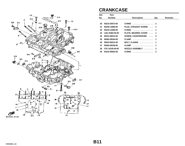<span id="page-22-0"></span>

| 3LE332-9130 |  |
|-------------|--|
|             |  |

# **CRANKCASE**

| Ref. | Part            |                            |              |                |
|------|-----------------|----------------------------|--------------|----------------|
| No.  | <b>Number</b>   | <b>Description</b>         | Qty          | <b>Remarks</b> |
|      |                 |                            |              |                |
| 30   | 93210-20573-00  | <b>O-RING</b><br>.         | 2            |                |
| 31   | 90340-14068-00  | PLUG, STRAIGHT SCREW       | 1            |                |
| 32   | 93210-14369-00  | <b>O-RING</b><br>.         | 1            |                |
| 33   | 1AE-15383-00-00 | PLATE, BEARING COVER       | 1            |                |
| 34   | 90151-06014-00  | <b>SCREW, COUNTERSUNK </b> | 3            |                |
| 35   | 90462-08184-00  | .<br><b>CLAMP</b>          | 1            |                |
| 36   | 95023-06012-00  | BOLT, FLANGE               | 1            |                |
| 37   | 90462-08158-00  | <b>CLAMP</b><br>.          | 1            |                |
| 38   | 2TK-15105-00-00 | NOZZLE ASSEMBLY            | $\mathbf{2}$ |                |
| 39   | 93210-06632-00  | <b>O-RING</b><br>.         | 2            |                |

8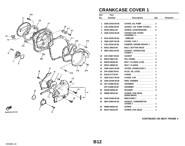

# **CRANKCASE COVER 1**

| Ref. | Part            |                                                  |              |                |
|------|-----------------|--------------------------------------------------|--------------|----------------|
| No.  | <b>Number</b>   | <b>Description</b>                               | Qty          | <b>Remarks</b> |
|      |                 |                                                  |              |                |
| 1    | 3GM-15416-00-00 | <b>COVER, OIL PUMP</b>                           | 2            |                |
| 2    | 1AE-15456-00-00 | <b>GASKET, OIL PUMP COVER 1</b>                  | 2            |                |
| 3    | 90152-06014-00  | <b>SCREW, COUNTERSUNK</b><br>$\cdots$            | 6            |                |
| 4    | 3GM-15410-00-00 | <b>CRANKCASE COVER</b><br>ASSEMBLY 1             | 1            |                |
| 5    | 2GH-15435-00-00 |                                                  | 1            |                |
| 6    | 3GM-15427-00-00 | COVER, CAP $2$                                   | 1            |                |
| 7    | 1AE-15316-00-00 | <b>DAMPER, ENGINE MOUNT 1 </b>                   | 1            |                |
| 8    | 92011-06010-00  | BOLT, BUTTON HEAD                                | 1            |                |
| 9    | 4BH-15451-00-00 | <b>GASKET, CRANKCASE</b><br><b>COVER 1</b><br>.  | 1            |                |
| 10   | 1UF-15467-00-00 | GASKET                                           | 1            |                |
| 11   | 99510-08012-00  | PIN, DOWEL                                       | 2            |                |
| 12   | 95023-06040-00  | BOLT, FLANGE (1YW)                               | 3            |                |
| 13   | 95021-06050-00  | BOLT, FLANGE                                     | $\mathbf{2}$ |                |
| 14   | 3GM-15421-00-00 | COVER, CRANKCASE 2                               | 1            |                |
| 15   | 3F9-15362-00-00 | PLUG, OIL LEVEL                                  | 1            |                |
| 16   | 93210-27778-00  | <b>O-RING</b><br>.                               | 1            |                |
| 17   | 3GM-15417-00-00 | COVER, CAP                                       | 1            |                |
| 18   | 3GM-15449-00-00 | RING, RUBBER                                     | 1            |                |
| 19   | 4H7-15486-00-00 | GROMMET                                          | 1            |                |
|      | 4H7-15486-00-00 | GROMMET                                          | 3            |                |
| 20   | 90209-06096-00  | WASHER                                           | 3            |                |
| 21   | 98580-06010-00  | <b>SCREW, PAN HEAD</b><br>$(92503 - 06010)$<br>. | 3            |                |
| 22   | 3GM-15346-00-00 | <b>BREATHER 1</b>                                | 1            |                |
| 23   | 4BH-15463-00-00 | <b>GASKET, CARBURETOR</b><br>COVER 2             | 1            |                |
| 24   | 98580-06020-00  | <b>SCREW</b><br>.                                | 4            |                |
| 25   | 90157-06104-00  | <b>SCREW, PAN HEAD</b><br><u>.</u>               | 1            |                |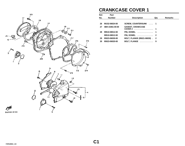<span id="page-24-0"></span>

# **CRANKCASE COVER 1**

| Ref. | Part            |                                    |     |                |
|------|-----------------|------------------------------------|-----|----------------|
| No.  | <b>Number</b>   | <b>Description</b>                 | Qty | <b>Remarks</b> |
|      |                 |                                    |     |                |
| 26   | 90152-06024-00  | <b>SCREW, COUNTERSUNK  1</b>       |     |                |
| 27   | 4BH-15461-00-00 | <b>GASKET, CRANKCASE</b>           |     |                |
|      |                 | COVER 2 1                          |     |                |
| 28   | 99510-08012-00  | PIN, DOWEL  1                      |     |                |
|      | 99510-08012-00  | PIN, DOWEL  2                      |     |                |
| 29   | 95023-06030-00  | <b>BOLT, FLANGE (95021-06030).</b> | - 2 |                |
| 30   | 95023-06020-00  | BOLT, FLANGE                       | 9   |                |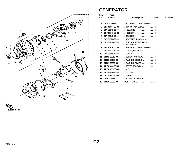

#### **GENERATOR**

| Ref.         | Part            |                                        |              |                |
|--------------|-----------------|----------------------------------------|--------------|----------------|
| No.          | <b>Number</b>   | <b>Description</b>                     | Qty          | <b>Remarks</b> |
|              |                 |                                        |              |                |
| 1            | 2GH-81600-55-00 | A.C. GENERATOR ASSEMBLY                | 1            |                |
| $\mathbf{2}$ | 2KT-81634-50-00 | . STATOR ASSEMBLY                      | 1            |                |
| 3            | 36Y-81643-30-00 | BEARING                                | 1            |                |
| 4            | 2KT-81645-50-00 | SCREW<br>.                             | 3            |                |
| 5            | 36Y-81643-50-00 | . BEARING<br>$    -$                   | 1            |                |
| 6            | 36Y-81970-50-00 | RECTIFIER ASSEMBLY                     | 1            |                |
| 7            | 36Y-81910-50-00 | . VOLTAGE REGULATOR<br><b>ASSEMBLY</b> | 1            |                |
| 8            | 3FV-81619-00-00 | . BRUSH HOLDER ASSEMBLY                | 1            |                |
| 9            | 36Y-81972-50-00 | . COVER, RECTIFIER                     | 1            |                |
| 10           | 36Y-81645-30-00 | . SCREW<br>.                           | $\mathbf{2}$ |                |
| 11           | 98501-05018-00  | . SCREW, PAN HEAD                      | 3            |                |
| 12           | 92990-05100-00  | . WASHER, SPRING                       | $\mathbf{3}$ |                |
| 13           | 92901-05600-00  | . WASHER, PLATE                        | 3            |                |
| 14           | 2KT-81604-50-00 | . COVER ASSEMBLY                       | 1            |                |
| 15           | 2KT-81675-50-00 |                                        | 3            |                |
| 16           | 36Y-81638-50-00 | . OIL SEAL                             | 1            |                |
| 17           | 2KT-81642-50-00 | . O-RING<br>.                          | 1            |                |
| 18           | 2GH-81660-52-00 | ROTOR ASSEMBLY                         | 1            |                |
| 19           | 95816-08030-00  | BOLT, FLANGE                           | 3            |                |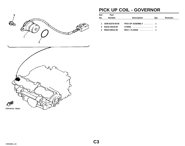

## **PICK UP COIL - GOVERNOR**

| Ref. | Part            |                     |     |         |
|------|-----------------|---------------------|-----|---------|
| No.  | <b>Number</b>   | <b>Description</b>  | Qtv | Remarks |
|      |                 |                     |     |         |
|      | 3GM-81670-00-00 | PICK-UP ASSEMBLY  1 |     |         |
| 2    | 93210-19216-00  | 0-RING  1           |     |         |
| 3    | 95023-06012-00  | BOLT, FLANGE  1     |     |         |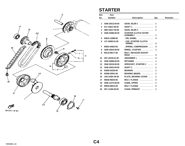

#### **STARTER**

| Ref.         | Part            |                                         |              |                |
|--------------|-----------------|-----------------------------------------|--------------|----------------|
| No.          | <b>Number</b>   | <b>Description</b>                      | Qty          | <b>Remarks</b> |
|              |                 |                                         |              |                |
| 1            | 3GM-15512-00-00 | GEAR, IDLER 1                           | 1            |                |
| $\mathbf{2}$ | 51Y-15521-00-00 | <b>SHAFT 1</b><br>.                     | 1            |                |
| 3            | 4BH-15517-00-00 | GEAR, IDLER 2                           | 1            |                |
| 4            | 3GM-15580-00-00 | <b>STARTER CLUTCH OUTER</b><br>ASSEMBLY | 1            |                |
| 5            | 93615-12088-00  | $.$ PIN, DOWEL $.$                      | 3            |                |
| 6            | 1J7-15583-01-00 | . CAP, STARTER CLUTCH<br><b>SPRING</b>  | 3            |                |
| 7            | 90501-04623-00  | . SPRING, COMPRESSION                   | 3            |                |
| 8            | 3GM-15524-00-00 | WHEEL, STARTER                          | 1            |                |
| 9            | 90110-08177-00  | <b>BOLT, HEXAGON SOCKET</b><br>HEAD     | 3            |                |
| 10           | 4H7-16155-01-00 | ABSORBER 1                              | 4            |                |
| 11           | 3GM-15689-00-00 | $RETAINER$                              | 1            |                |
| 12           | 3GM-15519-00-00 | <b>SPROCKET, STARTER 2 </b>             | 1            |                |
| 13           | 3GM-15522-00-00 |                                         | 1            |                |
| 14           | 93306-20335-00  | $BEARNING$                              | 1            |                |
| 15           | 93306-20541-00  | BEARING (B6205)                         | 1            |                |
| 16           | 1AE-15381-00-00 | PLATE, BEARING COVER                    | 1            |                |
| 17           | 95026-06016-00  | BOLT, FLANGE                            | 3            |                |
| 18           | 3GM-11474-00-00 | GUIDE, UPPER                            | 1            |                |
| 19           | 95816-06014-00  | BOLT, FLANGE                            | $\mathbf{2}$ |                |
| 20           | 36Y-11456-00-00 | CHAIN, PRIMARY                          | 1            |                |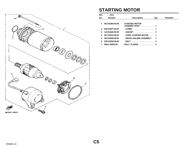

# **STARTING MOTOR**

| Ref.         | Part            |                                       |     |         |
|--------------|-----------------|---------------------------------------|-----|---------|
| No.          | <b>Number</b>   | <b>Description</b>                    | Qty | Remarks |
|              |                 |                                       |     |         |
| 1            | 3KS-81800-02-00 | <b>STARTING MOTOR</b><br>ASSEMBLYASSY |     |         |
| $\mathbf{p}$ | 26H-81847-00-00 | . O-RING<br>.                         |     |         |
| 3            | 11H-81844-00-00 |                                       | 2   |         |
| 4            | 2KT-81815-00-00 | . CORD, STARTER MOTOR                 |     |         |
| 5.           | 3KS-81840-00-00 | . BRUSH HOLDER ASSEMBLY               | 1   |         |
| 6            | 3HE-81826-00-00 | .<br>. BOLT                           | 2   |         |
|              | 95811-06025-00  | BOLT, FLANGE                          | 2   |         |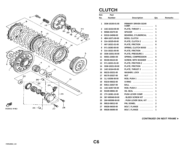

## **CLUTCH**

| Ref. | Part            |                             |              |                |
|------|-----------------|-----------------------------|--------------|----------------|
| No.  | Number          | <b>Description</b>          | Qty          | <b>Remarks</b> |
|      |                 |                             |              |                |
| 1    | 3GM-16150-01-00 | <b>PRIMARY DRIVEN GEAR</b>  | 1            |                |
| 2    | 1AE-16154-00-00 | PLATE, THRUST 1             | 1            |                |
| 3    | 90560-25270-00  | <b>SPACER</b><br>.          | 1            |                |
| 4    | 93310-340N8-00  | BEARING, CYLINDRICAL        | 1            |                |
| 5    | 4BH-16371-00-00 | BOSS, CLUTCH                | 1            |                |
| 6    | 31A-16325-00-00 | PLATE, CLUTCH 2             | 8            |                |
| 7    | 4H7-16321-01-00 | PLATE, FRICTION             | 6            |                |
| 8    | 5Y1-16383-00-00 | SPRING, CLUTCH BOSS         | 1            |                |
| 9    | 31A-16321-00-00 | PLATE, FRICTION             | 1            |                |
| 10   | 3GM-16351-00-00 | PLATE, PRESSURE 1           | $\mathbf{1}$ |                |
| 11   | 90501-230E4-00  |                             |              |                |
| 12   |                 | <b>SPRING, COMPRESSION </b> | 6            |                |
|      | 90159-06123-00  | <b>SCREW, WITH WASHER </b>  | 6            |                |
| 13   | 5Y1-16331-01-00 | PLATE, FRICTION 2           | 1            |                |
| 14   | 3GM-16321-00-00 | PLATE, FRICTION             | 1            |                |
| 15   | 1AE-16164-00-00 | PLATE, THRUST 2             | 1            |                |
| 16   | 90215-20231-00  | WASHER, LOCK                | 1            |                |
| 17   | 90170-20327-00  | <b>NUT</b>                  | 1            |                |
| 18   | 1LJ-16356-00-00 | ROD, PUSH 1                 | 1            |                |
| 19   | 93210-06632-00  | <b>O-RING</b><br>.          | 1            |                |
| 20   | 93511-32027-00  | <b>BALL</b>                 | 1            |                |
| 21   | 1AE-16357-00-00 | ROD, PUSH 2                 | 1            |                |
| 22   | 93109-08061-00  | <b>OIL SEAL</b>             | 1            |                |
| 23   | 1TV-16381-10-00 | PUSH LEVER COMP.            | 1            |                |
| 24   | 36Y-W0048-00-00 | . BLEED SCREW KIT           | 1            |                |
| 25   | 26H-W0098-00-00 | . PUSH LEVER SEAL KIT       | 1            |                |
| 26   | 99510-08012-00  | PIN, DOWEL                  | $\mathbf{2}$ |                |
| 27   | 95026-06030-00  | BOLT, FLANGE                | $\mathbf{2}$ |                |
| 28   | 95026-06090-00  | BOLT, FLANGE                | 1            |                |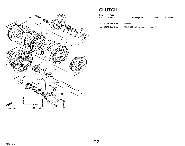<span id="page-30-0"></span>

# **CLUTCH**

| Ref.<br>No. | Part<br><b>Number</b> |                    | Qtv | <b>Remarks</b> |
|-------------|-----------------------|--------------------|-----|----------------|
|             |                       | <b>Description</b> |     |                |
| 29          | 93340-21505-00        | <b>BEARING</b> 1   |     |                |
| 30          | 90201-150H2-00        | WASHER, PLATE  1   |     |                |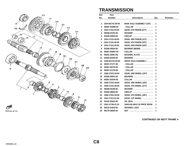

# **TRANSMISSION**

| Ref.         | Part            |                                  |     |                |
|--------------|-----------------|----------------------------------|-----|----------------|
| No.          | <b>Number</b>   | <b>Description</b>               | Qty | <b>Remarks</b> |
|              |                 |                                  |     |                |
| 1            | 2GH-W1741-00-00 | <b>MAIN AXLE ASSEMBLY (14T).</b> | 1   |                |
| $\mathbf{2}$ | 90387-253M6-00  | $COLLAR$                         | 1   |                |
| 3            | 2GH-17151-00-00 | GEAR, 5TH PINION (27T)           | 1   |                |
| 4            | 90209-22191-00  | <b>WASHER</b>                    | 1   |                |
| 5.           | 93440-25084-00  | $CIRCLIP$                        | 1   |                |
| 6            | 2GH-17131-00-00 | GEAR, 3RD PINION (21T)           | 1   |                |
| 7            | 2GH-17141-00-00 | GEAR, 4TH PINION (23T)           | 1   |                |
| 8            | 2GH-17121-00-00 | GEAR, 2ND PINION (18T)           | 1   |                |
| 9            | 93306-30525-00  | BEARING (B6305)                  | 1   |                |
| 10           | 90387-203M7-00  | COLLAR                           | 1   |                |
| 11           | 90201-200K3-00  | WASHER, PLATE                    | 1   |                |
| 12           | 93306-20455-00  | $BEARING$                        | 1   |                |
| 13           | 3GM-W1742-00-00 | DRIVE AXLE ASSEMBLY              | 1   |                |
| 14           | 90387-271T7-00  | . COLLAR                         | 1   |                |
| 15           | 90387-281T8-00  | . COLLAR                         | 1   |                |
| 16           | 90387-211T9-00  | .COLLAR                          | 1   |                |
| 17           | 3GM-17221-00-00 | GEAR, 2ND WHEEL (32T)            | 1   |                |
| 18           | 93305-30501-00  | $BEARING$                        | 1   |                |
| 19           | 90387-255V9-00  | COLLAR                           | 1   |                |
| 20           | 3GM-17231-00-00 | GEAR, 3RD WHEEL (29T)            | 1   |                |
| 21           | 3GM-17241-00-00 | GEAR, 4TH WHEEL (27T)            | 1   |                |
| 22           | 90209-25196-00  | <b>WASHER</b>                    | 1   |                |
| 23           | 93440-28062-00  | CIRCLIP                          | 1   |                |
| 24           | 3GM-17251-00-00 | GEAR, 5TH WHEEL (28T)            | 1   |                |
| 25           | 2GH-17211-01-00 | GEAR, 1ST WHEEL                  | 1   |                |
| 26           | 93102-35423-00  | OIL SEAL                         | 1   |                |
| 27           | 2GH-11746-01-10 | UNAVAILABLE IN PRICE BOOK        | 1   |                |
| 28           | 90215-21022-00  | WASHER, LOCK                     | 1   |                |
| 29           | 90179-18020-00  |                                  | 1   |                |

**[CONTINUED ON NEXT FRAME](#page-32-0)** ➤

-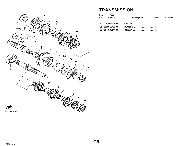<span id="page-32-0"></span>

## **TRANSMISSION**

| Ref. | Part               |                    |     |         |
|------|--------------------|--------------------|-----|---------|
| No.  | <b>Number</b>      | <b>Description</b> | Qtv | Remarks |
|      |                    |                    |     |         |
|      | 30 278-17424-01-00 |                    |     |         |
| -31  | 93306-20455-00     | <b>BEARING</b> 1   |     |         |
| 32   | 93440-45144-00     | CIRCLIP 1          |     |         |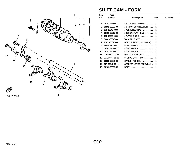

## **SHIFT CAM - FORK**

| Ref.         | Part            |                                         |                |         |
|--------------|-----------------|-----------------------------------------|----------------|---------|
| No.          | <b>Number</b>   | <b>Description</b>                      | Qty            | Remarks |
|              |                 |                                         |                |         |
| 1            | 2GH-18540-00-00 | SHIFT CAM ASSEMBLY                      | 1              |         |
| $\mathbf{2}$ | 90501-06022-00  | . SPRING, COMPRESSION                   | 1              |         |
| 3            | 278-18542-00-00 | . POINT, NEUTRAL                        | 1              |         |
| 4            | 98701-05012-00  | $.$ SCREW, FLAT HEAD $\,\ldots\ldots\,$ | 1              |         |
| 5            | 278-18566-00-00 | $.$ PLATE, SIDE 2 $.$                   | 1              |         |
| 6            | 90201-06643-00  | WASHER, PLATE                           | 1              |         |
| 7            | 95811-06016-00  | <b>BOLT, FLANGE (95822-06016).</b>      | $\overline{2}$ |         |
| 8            | 2GH-18511-00-00 | FORK, SHIFT 1                           | 1              |         |
| 9            | 2GH-18512-00-00 | FORK, SHIFT 2                           | 1              |         |
| 10           | 2GH-18513-00-00 | FORK, SHIFT $3$                         | 1              |         |
| 11           | 12R-18531-00-00 | BAR, SHIF FRK GDE 1                     | 1              |         |
| 12           | 1AE-18536-00-00 | STOPPER, SHIFT BAR                      | 1              |         |
| 13           | 90508-26681-00  | SPRING, TORSION                         | 1              |         |
| 14           | 36Y-18140-00-00 | STOPPER LEVER ASSEMBLY.                 | 1              |         |
| 15           | 90109-063F8-00  | <b>BOLT</b>                             |                |         |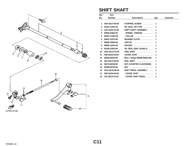

# **SHIFT SHAFT**

| Ref.         | Part            |                                  |              |                |
|--------------|-----------------|----------------------------------|--------------|----------------|
| No.          | <b>Number</b>   | <b>Description</b>               | Qty          | <b>Remarks</b> |
|              |                 |                                  |              |                |
| 1            | 4G0-18127-00-00 | STOPPER, SCREW                   | 1            |                |
| $\mathbf{2}$ | 93102-12321-00  | OIL SEAL, SD-TYPE                | 1            |                |
| 3            | 1AE-18101-01-00 | SHIFT SHAFT ASSEMBLY             | 1            |                |
| 4            | 90508-32682-00  | . SPRING, TORSION                | 1            |                |
| 5            | 90387-114K8-00  | . COLLAR                         | 1            |                |
| 6            | 90201-12575-00  | WASHER, PLATE                    | 1            |                |
| 7            | 99006-10600-00  | $CIRCLIP$ ,,,,,,,,,,,,,,,,,,,,,, | 1            |                |
| 8            | 90560-12191-00  | <b>SPACER</b><br>.               | 1            |                |
| 9            | 93109-12053-00  | OIL SEAL (SDO 12/18/4-1)         | $\mathbf{2}$ |                |
| 10           | 2GH-18112-01-00 | <b>ARM, SHIFT</b>                | 1            |                |
| 11           | 2H9-18154-00-00 | COVER, DUST                      | 1            |                |
| $12 \,$      | 95826-06020-00  | BOLT, flange (95806-06020-00)    | 1            |                |
| 13           | 46X-18115-00-00 | ROD, SHIFT                       | 1            |                |
| 14           | 90170-06228-00  | <b>NUT (COUNTER CLOCKWISE)</b>   | 1            |                |
| 15           | 95380-06700-00  |                                  | 1            |                |
| 16           | 2GH-18110-00-00 | SHIFT PEDAL ASSEMBLY             | 1            |                |
| 17           | 2H9-18154-00-00 | $.$ COVER, DUST $.$              | 1            |                |
| 18           | 132-18113-01-00 | . COVER, SHIFT PEDAL             | 1            |                |
|              |                 |                                  |              |                |

۰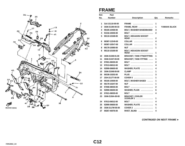

#### **FRAME**

| Ref.         | Part            |                                          |              |                |
|--------------|-----------------|------------------------------------------|--------------|----------------|
| No.          | <b>Number</b>   | <b>Description</b>                       | Qty          | <b>Remarks</b> |
|              |                 |                                          |              |                |
| 1            | 3LK-21110-00-00 | <b>FRAME</b><br>.                        | 1            |                |
| $\mathbf{2}$ | 3GM-21190-00-33 | FRAME, REAR                              | 1            | YAMAHA BLACK   |
| 3            | 90105-10459-00  | <b>BOLT, WASHER BASEDBASED</b>           | 4            |                |
| 4            | 91316-10045-00  | <b>BOLT</b>                              | 2            |                |
| 5            | 90110-10168-00  | <b>BOLT, HEXAGON SOCKET</b><br>HEAD      | 2            |                |
| 6            | 90387-115V8-00  | COLLAR<br>.                              | 4            |                |
| 7            | 90387-105V7-00  | .<br>COLLAR                              | 1            |                |
| 8            | 90179-10590-00  | NUT                                      | 1            |                |
| 9            | 90110-10169-00  | <b>BOLT, HEXAGON SOCKET</b><br>HEAD      | 1            |                |
| 10           | 3GM-21348-01-00 | <b>BRACKET, TANK FTNGFITTING</b>         | 1            |                |
| 11           | 3GM-21347-00-00 | <b>BRACKET, TANK FITTING </b>            | 1            |                |
| 12           | 97001-06035-00  | BOLT                                     | $\mathbf{2}$ |                |
| 13           | 97013-06012-00  |                                          | 4            |                |
| 14           | 92990-06600-00  | WASHER, PLATE                            | 4            |                |
| 15           | 3GM-21548-00-00 | <b>CLAMP</b><br>.                        | 1            |                |
| 16           | 90338-15202-00  | PLUG                                     | 3            |                |
| 17           | 2GH-2117T-00-00 | COVER 5                                  | 1            |                |
| 18           | 90105-10559-00  | <b>BOLT, WASHER BASED</b>                | 1            |                |
| 19           | 90179-10247-00  | NUT                                      | 1            |                |
| 20           | 97006-08035-00  | <b>BOLT</b>                              | $\mathbf{2}$ |                |
| 21           | 92990-08200-00  | WASHER, PLAIN                            | 6            |                |
| 22           | 97021-08035-00  | <b>BOLT</b>                              | 4            |                |
| 23           | 3GM-2136A-00-00 | <b>BRACKET, COOLER</b><br>.<br>1COOLER 1 | 1            |                |
| 24           | 97013-06012-00  | $BOLT$                                   | 4            |                |
| 25           | 92990-06600-00  | WASHER, PLATE                            | 4            |                |
| 26           | 3GM-2117M-00-00 | COVER 2                                  | 1            |                |
| 27           | 90267-40076-00  | RIVET, BLIND<br>.                        | 4            |                |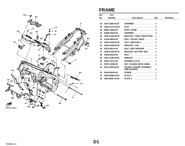

#### **FRAME**

| Ref. | Part            |                                                        |              |                |
|------|-----------------|--------------------------------------------------------|--------------|----------------|
| No.  | <b>Number</b>   | <b>Description</b>                                     | Qty          | <b>Remarks</b> |
|      |                 |                                                        |              |                |
| 28   | 2GH-15365-00-00 | $GROMMET$                                              | $\mathbf{2}$ |                |
| 29   | 3GM-2117A-00-00 | <b>STAY</b>                                            | $\mathbf{2}$ |                |
| 30   | 90267-40054-00  | RIVET, BLIND                                           | $\mathbf{2}$ |                |
| 31   | 90480-35526-00  | $GROMMET$                                              | $\mathbf{2}$ |                |
| 32   | 3GM-21345-00-00 | <b>BRACKET, TANK FTNGFITTING</b>                       | 1            |                |
| 33   | 91316-08016-00  | BOLT, SOCKET HEAD                                      | $\mathbf{2}$ |                |
| 34   | 3GM-21446-02-00 | STAY, MUFFLER 2                                        | 1            |                |
| 35   | 3GM-21359-00-00 | BRACKET, COIL                                          | 1            |                |
| 36   | 90119-06114-00  | BOLT, WITH WASHER                                      | 3            |                |
| 37   | 3GM-21149-00-00 | <b>BRACKET, BATTERY BOX </b>                           | 1            |                |
| 38   | 91026-06010-00  | <b>BOLT</b>                                            | 1            |                |
| 39   | 1RK-2118E-00-00 | $EMBLEM$                                               | 2            |                |
| 40   | 90201-101J1-00  | WASHER, PLATE                                          | 1            |                |
| 41   | 95701-10500-00  | NUT, FLANGE (95702-10500)                              | 1            |                |
| 42   | 26H-21308-00-00 | <b>HELMET HANGER ASSEMBLY</b><br>$(4R8-21308-00)$<br>. | 1            |                |
| 43   | 90149-06150-00  | <b>SCREW</b><br>.                                      | 1            |                |
| 44   | 3GM-28396-00-00 | <b>PLATE 1</b><br>. <b>.</b> .                         | 1            |                |
| 45   | 3GM-28397-00-00 | <b>PLATE 2</b><br>.                                    | 1            |                |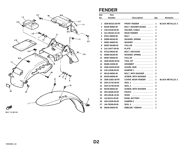

#### **FENDER**

| Ref.           | Part            |                                  |                |                         |
|----------------|-----------------|----------------------------------|----------------|-------------------------|
| No.            | <b>Number</b>   | <b>Description</b>               | Qty            | <b>Remarks</b>          |
|                |                 |                                  |                |                         |
| 1              | 3GM-W2151-00-P0 | <b>FRONT FENDER</b><br>.         | 1              | <b>BLACK METALLIC 2</b> |
| $\overline{2}$ | 90105-06564-00  | <b>BOLT, WASHER BASED </b>       | 4              |                         |
| 3              | 1A8-21518-00-00 | HOLDER, CABLE                    | 1              |                         |
| 4              | 3LK-W2161-01-00 | REAR FENDER                      | 1              |                         |
| 5              | 97011-06020-00  | BOLT                             | 2              |                         |
| 6              | 92995-06100-00  | WASHER, SPRING                   | $\overline{2}$ |                         |
| 7              | 92901-06600-00  | WASHER                           | 2              |                         |
| 8              | 90387-061M0-00  | COLLAR                           | $\mathbf{2}$   |                         |
| 9              | 31A-14477-00-00 | <b>PLATE</b>                     | $\mathbf{2}$   |                         |
| 10             | 97313-06016-00  | BOLT, HEXAGON                    | $\mathbf{2}$   |                         |
| 11             | 92995-06100-00  | WASHER, SPRING                   | $\mathbf{2}$   |                         |
| 12             | 90387-06648-00  | <b>COLLAR</b><br>.               | 2              |                         |
| 13             | 3GM-28100-00-00 | TOOL KIT                         | 1              |                         |
| 14             | 90480-10258-00  | GROMMET                          | $\mathbf{2}$   |                         |
| 15             | 3GM-21629-00-00 | GUARD, MUD                       | 1              |                         |
| 16             | 2JG-21638-00-00 | DAMPER 1 $\ldots$ ,,,,,,,,,,,,,, | 1              |                         |
| 17             | 90119-06052-00  | BOLT, WITH WASHER                | 2              |                         |
| 18             | 90159-06056-00  | <b>SCREW, WITH WASHER </b>       | 1              |                         |
| 19             | 3GM-21651-00-P0 | <b>COVER, REAR FENDER </b>       | 1              | <b>BLACK METALLIC 2</b> |
| 20             | 2GH-21732-00-00 | SEAL 1<br>.                      | 2              |                         |
| 21             | 2GH-21735-00-00 | <b>SEAL 2</b><br>.               | $\mathbf{2}$   |                         |
| 22             | 90159-06042-00  | <b>SCREW, WITH WASHER </b>       | 4              |                         |
| 23             | 4K5-28186-00-00 | POUCH                            | 1              |                         |
| 24             | 4K5-2814E-10-00 | HOOK                             | $\mathbf{2}$   |                         |
| 25             | 122-82131-00-00 | BAND, BATTERY                    | 1              |                         |
| 26             | 4G0-21639-00-00 | DAMPER 2                         | 1              |                         |
| 27             | J44-78248-00-00 | .<br><b>SEAL 4</b>               | 1              |                         |
| 28             | 99236-00020-00  | EMBLEM, YAMAHA                   | 1              |                         |
|                |                 |                                  |                |                         |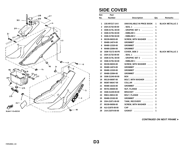

## **SIDE COVER**

| Ref.         | Part            |                                  |              |                         |
|--------------|-----------------|----------------------------------|--------------|-------------------------|
| No.          | <b>Number</b>   | <b>Description</b>               | Qty          | <b>Remarks</b>          |
|              |                 |                                  |              |                         |
| 1            | 13G-MY217-14-0  | <b>UNAVAILABLE IN PRICE BOOK</b> | 1            | <b>BLACK METALLIC 2</b> |
| $\mathbf{2}$ | 2GH-21732-00-00 | . SEAL 1<br>.                    | 1            |                         |
| 3            | 3GM-2173L-50-00 | . GRAPHIC SET 1                  | 1            |                         |
| 4            | 3GM-21781-50-00 | $.$ EMBLEM 1 $.$                 | 1            |                         |
| 5            | 3GM-21782-50-00 | . EMBLEM 2                       | 1            |                         |
| 6            | 90159-06033-00  | <b>SCREW, WITH WASHER </b>       | 1            |                         |
| 7            | 90480-14074-00  | <b>GROMMET</b>                   | 1            |                         |
| 8            | 90480-12320-00  | $GROMMET$                        | 1            |                         |
| 9            | 90480-22084-00  | $GROMMET$                        | 1            |                         |
| 10           | 3GM-Y2172-40-P0 | COVER, SIDE 2                    | 1            | <b>BLACK METALLIC 2</b> |
| 11           | 2GH-21732-00-00 | . SEAL 1                         | 1            |                         |
| 12           | 3GM-2174L-50-00 | . GRAPHIC SET 2                  | 1            |                         |
| 13           | 3GM-21781-50-00 | . EMBLEM 1                       | 1            |                         |
| 14           | 90159-06033-00  | <b>SCREW, WITH WASHER </b>       | 1            |                         |
| 15           | 90480-14074-00  | $GROMMET$                        | 1            |                         |
| 16           | 90480-12320-00  | GROMMET                          | 1            |                         |
| 17           | 90480-22084-00  | GROMMET                          | 1            |                         |
| 18           | 3GM-21240-00-00 | <b>BOX</b>                       | 1            |                         |
| 19           | 90119-06097-00  | <b>BOLT, WITH WASHER </b>        | 2            |                         |
| 20           | 90387-060A7-00  | .<br>COLLAR                      | 2            |                         |
| 21           | 90480-16233-00  | <b>GROMMET</b>                   | $\mathbf{2}$ |                         |
| 22           | 95701-06500-00  | NUT, FLANGE                      | $\mathbf{2}$ |                         |
| 23           | 3GM-21249-00-00 | BRACKET                          | 1            |                         |
| 24           | 95811-06012-00  | BOLT, FLANGE                     | $\mathbf{2}$ |                         |
| 25           | 90480-23192-00  | <b>GROMMET</b>                   | 1            |                         |
| 26           | 2GH-21871-00-00 | TANK, RECOVERY                   | 1            |                         |
| 27           | 90159-06056-00  | <b>SCREW, WITH WASHER </b>       | $\mathbf{2}$ |                         |
| 28           | 4L0-21875-00-00 | CAP                              | 1            |                         |
| 29           | 1AA-21874-00-00 | <b>GASKET</b><br>.               | 1            |                         |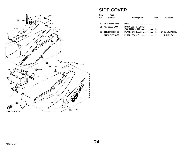<span id="page-39-0"></span>

## **SIDE COVER**

| Ref.<br>No. | Part<br><b>Number</b> | <b>Description</b>                                | Qtv | <b>Remarks</b>  |
|-------------|-----------------------|---------------------------------------------------|-----|-----------------|
|             |                       |                                                   |     |                 |
| 30          | 3GM-21816-00-00       | PIPE 1  1                                         |     |                 |
| 31          | 437-83936-10-00       | <b>BAND, SWITCH CORD</b><br>$(437-83936-10-00)$ 1 |     |                 |
| 32          | 3LK-2179R-10-00       | PLATE, EPA CAL 2  1                               |     | UR CALIF. MODEL |
|             | 3LK-2179V-10-00       | PLATE, EPA U 9  1                                 |     | UR NON CAL      |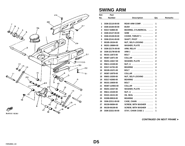

#### **SWING ARM**

| Ref.         | Part            |                            |                |                |
|--------------|-----------------|----------------------------|----------------|----------------|
| No.          | Number          | <b>Description</b>         | Qty            | <b>Remarks</b> |
|              |                 |                            |                |                |
| 1            | 3GM-22110-00-00 | REAR ARM COMP.             | 1              |                |
| $\mathbf{2}$ | 3GM-22184-00-00 | BUSH                       | 1              |                |
| 3            | 93317-52865-00  | BEARING, CYLINDRICAL       | $\mathbf{2}$   |                |
| 4            | 3GM-22127-00-00 | <b>SHIM</b>                | $\mathbf{2}$   |                |
| 5            | 3GM-22128-00-00 | COVER, THRUST 1            | $\overline{2}$ |                |
| 6            | 3GM-22141-00-00 | SHAFT, PIVOT               | 1              |                |
| 7            | 90185-18104-00  | NUT, SELF-LOCKING          | 1              |                |
| 8            | 90201-186M4-00  | WASHER, PLATE              | 1              |                |
| 9            | 3GM-2217A-00-00 | ARM, RELAY                 | 1              |                |
| 10           | 3GM-2217M-00-00 | ARM 1                      | $\mathbf{2}$   |                |
| 11           | 90101-12673-00  |                            | $\mathbf{2}$   |                |
| 12           | 90387-126T1-00  | COLLAR                     | $\mathbf{2}$   |                |
| 13           | 90201-126A7-00  | WASHER, PLATE              | $\overline{2}$ |                |
| 14           | 95611-12100-00  |                            | $\overline{2}$ |                |
| 15           | 93317-41761-00  | $BEARING$                  | 4              |                |
| 16           | 90109-101F1-00  | <b>BOLT</b>                | 1              |                |
| 17           | 90387-100T8-00  | $COLLAR$                   | 1              |                |
| 18           | 95601-10200-00  | NUT, SELF-LOCKING          | 1              |                |
| 19           | 93317-42060-00  | $BEARING$                  | 1              |                |
| 20           | 90101-10659-00  |                            | 1              |                |
| 21           | 90387-124W2-00  | COLLAR                     | $\mathbf{2}$   |                |
| 22           | 90201-10437-00  | WASHER, PLATE              | 1              |                |
| 23           | 95611-10100-00  |                            | 1              |                |
| 24           | 93101-16131-00  | OIL SEAL                   | $\mathbf{2}$   |                |
| 25           | 93399-99919-00  | BEARING                    | 1              |                |
| 26           | 3GM-22311-00-00 | CASE, CHAIN                | 1              |                |
| 27           | 90159-06084-00  | <b>SCREW, WITH WASHER </b> | 1              |                |
| 28           | 90159-06108-00  | <b>SCREW, WITH WASHER </b> | 1              |                |
| 29           | 3GM-22321-00-00 | STAY, CHAIN CASE 1         | 1              |                |
|              |                 |                            |                |                |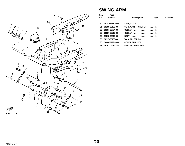<span id="page-41-0"></span>

### **SWING ARM**

| Ref.   | Part            |                       |     |                |
|--------|-----------------|-----------------------|-----|----------------|
| No.    | <b>Number</b>   | <b>Description</b>    | Qty | <b>Remarks</b> |
|        |                 |                       |     |                |
| 30     | 3GM-22151-00-00 | SEAL, GUARD  1        |     |                |
| 31     | 90159-06108-00  | SCREW, WITH WASHER  1 |     |                |
| $32\,$ | 90387-06704-00  | <b>COLLAR</b> 1       |     |                |
| 33     | 90387-06216-00  | <b>COLLAR</b> 1       |     |                |
| 34     | 97013-06012-00  |                       |     |                |
| 35     | 92995-06100-00  | WASHER, SPRING  1     |     |                |
| 36     | 3GM-22129-00-00 | COVER, THRUST 2  1    |     |                |
| 37     | 3EN-2218A-51-00 | EMBLEM, REAR ARM  1   |     |                |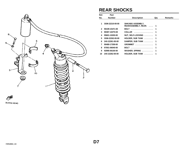

## **REAR SHOCKS**

| Ref. | Part            |                                                 |     |         |
|------|-----------------|-------------------------------------------------|-----|---------|
| No.  | <b>Number</b>   | <b>Description</b>                              | Qty | Remarks |
|      |                 |                                                 |     |         |
| 1    | 3GM-22210-00-00 | <b>SHK/ABS ASSEMBLY,</b><br>REARASSEMBLY, REAR. | 1   |         |
| 2    | 90109-101F1-00  | <b>BOLT</b>                                     | 1   |         |
| 3    | 90387-102T0-00  | COLLAR                                          |     |         |
| 4    | 95601-10200-00  | NUT, SELF-LOCKING                               | 1   |         |
| 5.   | 3GM-22262-00-00 | HOLDER, SUB TANK                                |     |         |
| 6    | 24X-22261-00-00 | DAMPER, SUB TANK                                | 1   |         |
| 7    | 90480-17359-00  | GROMMET                                         |     |         |
| 8    | 97001-06040-00  | <b>BOLT</b>                                     |     |         |
| 9    | 92995-06100-00  | WASHER, SPRING                                  | 1   |         |
| 10   | 24X-22262-00-00 | HOLDER, SUB TANK                                |     |         |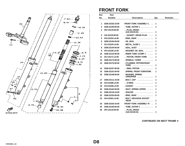

#### **FRONT FORK**

| Ref. | Part            |                                                                            |     |                |
|------|-----------------|----------------------------------------------------------------------------|-----|----------------|
| No.  | <b>Number</b>   | <b>Description</b>                                                         | Qty | <b>Remarks</b> |
| 1    | 3GM-23102-10-00 | <b>FRONT FORK ASSEMBLY L</b>                                               | 1   |                |
| 2    | 3GM-23126-00-00 | $.$ TUBE, OUTER 1 $.$                                                      | 1   |                |
| 3    | 4H7-23119-00-00 | PLUG, DRAIN -                                                              |     |                |
|      |                 | $(122 - 23119 - 01)$                                                       | 1   |                |
| 4    | 122-23129-00-00 | GASKET, DRAIN PLUG                                                         | 1   |                |
| 5    | 4V4-23153-L0-00 | . RING, SNAP                                                               | 1   |                |
| 6    | 3GM-23145-00-00 | . OIL SEAL                                                                 | 1   |                |
| 7    | 3XJ-23125-L0-00 | . METAL, SLIDE 1                                                           | 1   |                |
| 8    | 3GM-23144-00-00 | . SEAL, DUST                                                               | 1   |                |
| 9    | 4V4-23146-L0-00 | . WASHER, OIL SEAL                                                         | 1   |                |
| 10   | 3GM-23110-00-00 | . INNER TUBE 1COMP 1                                                       | 1   |                |
| 11   | 3XJ-23171-L0-00 | PISTON, FRONT FORK                                                         | 1   |                |
| 12   | 3GM-23173-00-00 | . SPINDLE, TAPER                                                           | 1   |                |
| 13   | 3GM-23170-00-00 | . CYLINDER, FRTFRKFRONT<br><b>FORK</b><br>$\sim$ $\sim$ $\sim$ $\sim$<br>. | 1   |                |
| 14   | 3GM-23157-00-00 | $\ldots$ RING, PISTON $\ldots$                                             | 1   |                |
| 15   | 3GM-23141-00-00 | . SPRING, FRONT FORKFORK                                                   | 1   |                |
| 16   | 3GM-23149-00-00 | . WASHER, SPRING<br>UPRUPPER                                               | 1   |                |
| 17   | 3GM-23111-10-00 | . BOLT, CAP                                                                | 1   |                |
| 18   | 4V4-23188-L0-00 | . . O-RING<br>.                                                            | 1   |                |
| 19   | 4V4-23158-L0-00 | . GASKET<br>.                                                              | 1   |                |
| 20   | 3GM-23142-00-00 | . SEAT, SPRING UPPER                                                       | 1   |                |
| 21   | 3GM-23118-10-00 | . SPACER<br>.                                                              | 1   |                |
| 22   | 3GM-23153-00-00 | . RING, SNAP                                                               | 1   |                |
| 23   | 4V4-23181-L0-00 | . BOLT, HEXAGON SOCKET<br><b>HEAD</b>                                      | 1   |                |
| 24   | 3GM-23103-10-00 | <b>FRONT FORK ASSEMBLY R </b>                                              | 1   |                |
| 25   | 3GM-23136-00-00 | $.$ TUBE, OUTER 2 $.$                                                      | 1   |                |
| 26   | 4H7-23119-00-00 | PLUG, DRAIN -<br>$(122-23119-01)$                                          | 1   |                |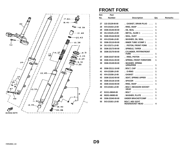<span id="page-44-0"></span>

#### **FRONT FORK**

| Ref. | Part            |                                                  |     |         |
|------|-----------------|--------------------------------------------------|-----|---------|
| No.  | <b>Number</b>   | <b>Description</b>                               | Qty | Remarks |
|      |                 |                                                  |     |         |
| 27   | 122-23129-00-00 | GASKET, DRAIN PLUG                               | 1   |         |
| 28   | 4V4-23153-L0-00 | . RING, SNAP                                     | 1   |         |
| 29   | 3GM-23145-00-00 | . OIL SEAL                                       | 1   |         |
| 30   | 3XJ-23125-L0-00 | $METAL$ , SLIDE 1 $\ldots \ldots \ldots$         | 1   |         |
| 31   | 3GM-23144-00-00 | . SEAL, DUST                                     | 1   |         |
| 32   | 4V4-23146-L0-00 | . WASHER, OIL SEAL                               | 1   |         |
| 33   | 3GM-23110-00-00 | . INNER TUBE 1COMP 1                             | 1   |         |
| 34   | 3XJ-23171-L0-00 | PISTON, FRONT FORK                               | 1   |         |
| 35   | 3GM-23173-00-00 | SPINDLE, TAPER                                   | 1   |         |
| 36   | 3GM-23170-00-00 | . CYLINDER, FRTFRKFRONT                          |     |         |
|      |                 | <b>FORK</b>                                      | 1   |         |
| 37   | 3GM-23157-00-00 | $\ldots$ RING, PISTON $\ldots$                   | 1   |         |
| 38   | 3GM-23141-00-00 | . SPRING, FRONT FORKFORK                         | 1   |         |
| 39   | 3GM-23149-00-00 | . WASHER, SPRING<br>UPRUPPER                     | 1   |         |
| 40   | 3GM-23111-10-00 | . BOLT, CAP                                      | 1   |         |
| 41   | 4V4-23188-L0-00 | O-RING<br>.                                      | 1   |         |
| 42   | 4V4-23158-L0-00 | . GASKET<br>.                                    | 1   |         |
| 43   | 3GM-23142-00-00 | . SEAT, SPRING UPPER<br>1.1.1.1                  | 1   |         |
| 44   | 3GM-23118-10-00 | . SPACER<br>.                                    | 1   |         |
| 45   | 3GM-23153-00-00 | . RING, SNAP                                     | 1   |         |
| 46   | 4V4-23181-L0-00 | . BOLT, HEXAGON SOCKET<br><b>HEAD</b><br>.       | 1   |         |
| 47   | 91311-08045-00  | . BOLT                                           | 1   |         |
| 48   | 90201-08085-00  | . WASHER, PLATE                                  | 1   |         |
| 49   | 3GM-23340-00-00 | UNDER BRACKETCOMP                                | 1   |         |
| 50   | 5X3-23181-L0-00 | <b>BOLT, HEX SCKT</b><br><b>HEADSOCKET HEAD </b> | 4   |         |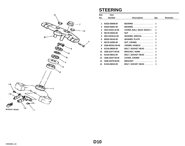![](_page_45_Figure_0.jpeg)

3LE332-9250

ÌТ

### **STEERING**

9

| Ref. | Part            |                                 |              |                |
|------|-----------------|---------------------------------|--------------|----------------|
| No.  | <b>Number</b>   | <b>Description</b>              | Qty          | <b>Remarks</b> |
|      |                 |                                 |              |                |
| 1    | 93332-00008-00  | $BEARING$                       | 1            |                |
| 2    | 93332-00001-00  | BEARING                         | 1            |                |
| 3    | 2GH-23415-10-00 | <b>COVER, BALL RACE 1RACE 1</b> | 1            |                |
| 4    | 90179-25033-00  |                                 | $\mathbf 2$  |                |
| 5    | 26H-23418-01-00 | WASHER, SPECIAL                 | 1            |                |
| 6    | 90202-26142-00  | WASHER, PLATE                   | 1            |                |
| 7    | 90176-22050-00  | NUT, CROWN                      | 1            |                |
| 8    | 3GM-W2341-00-00 | CROWN, HANDLE                   | 1            |                |
| 9    | 91316-08035-00  | BOLT, SOCKET HEAD               | $\mathbf{2}$ |                |
| 10   | 3GM-23377-00-00 | BRACKET, HORN                   | 1            |                |
| 11   | 91316-06012-00  | BOLT, SOCKET HEAD               | $\mathbf{2}$ |                |
| 12   | 3GM-23437-00-00 | COVER, CROWN                    | $\mathbf{2}$ |                |
| 13   | 3GM-23378-00-00 | $BRACKET$                       | 1            |                |
| 14   | 91316-06010-00  | BOLT, SOCKET HEAD               | 1            |                |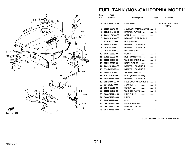![](_page_46_Figure_0.jpeg)

# **FUEL TANK (NON-CALIFORNIA MODEL)**

| Ref. | Part            |                                |                |                                            |
|------|-----------------|--------------------------------|----------------|--------------------------------------------|
| No.  | <b>Number</b>   | <b>Description</b>             | Qty            | <b>Remarks</b>                             |
| 1    | 3GM-24110-01-05 | FUEL TANK                      | 1              | <b>BLK METALL. 2 FINE</b><br><b>SILVER</b> |
| 2    | 99226-00040-00  | . EMBLEM, YAMAHA (2AW)         | $\mathbf{2}$   |                                            |
| 3    | 3LK-2414J-00-00 | DAMPER, PLATE 2                | 1              |                                            |
| 4    | 2GH-21732-00-00 | SEAL 1<br>. <b>.</b> .         | 1              |                                            |
| 5    | 2GH-24191-00-00 | <b>BRACKET, FUEL TANK 1 </b>   | 1              |                                            |
| 6    | 95303-06800-00  | NUT (CROWN)                    | 1              |                                            |
| 7    | 2GH-24181-00-00 | DAMPER, LOCATING 1             | 1              |                                            |
| 8    | 2GH-24183-00-00 | DAMPER, LOCATING 3             | 1              |                                            |
| 9    | 2GH-24186-00-00 | WASHER, SPECIAL                | 1              |                                            |
| 10   | 90387-06553-00  | COLLAR                         | 2              |                                            |
| 11   | 97011-06025-00  | BOLT (97001-06025)             | $\mathbf 2$    |                                            |
| 12   | 92995-06100-00  | WASHER, SPRING                 | $\overline{2}$ |                                            |
| 13   | 95811-06075-00  | BOLT, FLANGE                   | 1              |                                            |
| 14   | 2GH-24184-00-00 | DAMPER, LOCATING 4             | 1              |                                            |
| 15   | 3Y6-24183-00-00 | DAMPER, LOCATING 3             | 1              |                                            |
| 16   | 2GH-24187-00-00 | WASHER, SPECIAL                | 1              |                                            |
| 17   | 97011-08030-00  | BOLT (97001-08030-00)          | 1              |                                            |
| 18   | 3GM-24182-00-00 | DAMPER, LOCATING 2             | 2              |                                            |
| 19   | 26H-24500-00-00 | FUEL COCK ASSEMBLY 1           | 2              |                                            |
| 20   | 214-24512-00-00 |                                | $\mathbf 2$    |                                            |
| 21   | 90149-06011-00  | <b>SCREW</b><br>.              | $\overline{2}$ |                                            |
| 22   | 90202-05187-00  | WASHER, PLATE                  | $\mathbf{2}$   |                                            |
| 23   | 3GM-24311-01-00 | PIPE, FUEL 1                   | 1              |                                            |
| 24   | 3GM-24312-00-00 |                                | 1              |                                            |
| 25   | 90467-12124-00  | <b>CLIP</b>                    | 4              |                                            |
| 26   | 1FK-24560-00-00 | FILTER ASSEMBLY                | 1              |                                            |
| 27   | 1FK-24566-00-00 | BRACKET, FILTER                | 1              |                                            |
| 28   | 3GM-24136-00-00 | <b>CLAMP 2</b><br>. <b>.</b> . | 1              |                                            |

**[CONTINUED ON NEXT FRAME](#page-47-0)** ➤

**D11**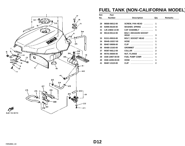<span id="page-47-0"></span>![](_page_47_Figure_0.jpeg)

# **FUEL TANK (NON-CALIFORNIA MODEL)**

| Ref. | Part            |                                            |              |                |
|------|-----------------|--------------------------------------------|--------------|----------------|
| No.  | <b>Number</b>   | <b>Description</b>                         | Qty          | <b>Remarks</b> |
|      |                 |                                            |              |                |
| 29   | 98580-06012-00  | SCREW, PAN HEAD                            | 1            |                |
| 30   | 92995-06100-00  | WASHER, SPRING                             | 1            |                |
| 31   | 1JK-24602-13-00 | CAP ASSEMBLY                               | 1            |                |
| 32   | 90110-05112-00  | <b>BOLT, HEXAGON SOCKET</b><br><b>HEAD</b> | 3            |                |
| 33   | 91311-05010-00  | BOLT, SOCKET HEAD                          | 1            |                |
| 34   | 90445-102G7-00  | HOSE                                       | 1            |                |
| 35   | 90467-09006-00  | <b>CLIP</b>                                | 1            |                |
| 36   | 90480-13163-00  | GROMMET                                    | $\mathbf{2}$ |                |
| 37   | 90387-062L2-00  | <b>COLLAR</b><br>.                         | $\mathbf{2}$ |                |
| 38   | 95701-06500-00  | NUT, FLANGE                                | $\mathbf{2}$ |                |
| 39   | 3GM-13907-00-00 | FUEL PUMP COMP.                            | 1            |                |
| 40   | 3GM-14294-00-00 | <b>HOSE</b>                                | 1            |                |
| 41   | 90467-13123-00  | <b>CLIP</b><br>.                           | $\mathbf{2}$ |                |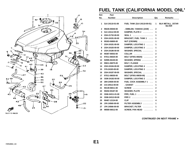![](_page_48_Figure_0.jpeg)

# **FUEL TANK (CALIFORNIA MODEL ONLY**

| Ref.         | Part            |                                    |                  |                                           |
|--------------|-----------------|------------------------------------|------------------|-------------------------------------------|
| No.          | <b>Number</b>   | <b>Description</b>                 | Qty              | Remarks                                   |
| 1            | 3LK-24110-01-08 | <b>FUEL TANK (3LK-24110-00-01)</b> | 1                | <b>BLK METALL. 2STAR</b><br><b>SILVER</b> |
| $\mathbf{2}$ | 99226-00040-00  | . EMBLEM, YAMAHA (2AW)             | $\mathbf{2}$     |                                           |
| 3            | 3LK-2414J-00-00 | DAMPER, PLATE 2                    | 1                |                                           |
| 4            | 2GH-21732-00-00 | <b>SEAL 1</b><br>.                 | 1                |                                           |
| 5            | 2GH-24191-00-00 | <b>BRACKET, FUEL TANK 1 </b>       | 1                |                                           |
| 6            | 95303-06800-00  | NUT (CROWN)                        | 1                |                                           |
| 7            | 2GH-24181-00-00 | DAMPER, LOCATING 1                 | 1                |                                           |
| 8            | 2GH-24183-00-00 | DAMPER, LOCATING 3                 | 1                |                                           |
| 9            | 2GH-24186-00-00 | WASHER, SPECIAL                    | 1                |                                           |
| 10           | 90387-06553-00  | <b>COLLAR</b><br>. <b>.</b> .      | $\mathbf{2}$     |                                           |
| 11           | 97011-06025-00  | BOLT (97001-06025)                 | $\overline{2}$   |                                           |
| 12           | 92995-06100-00  | WASHER, SPRING                     | $\boldsymbol{2}$ |                                           |
| 13           | 95811-06075-00  | BOLT, FLANGE                       | 1                |                                           |
| 14           | 2GH-24184-00-00 | DAMPER, LOCATING 4                 | 1                |                                           |
| 15           | 3Y6-24183-00-00 | DAMPER, LOCATING 3                 | 1                |                                           |
| 16           | 2GH-24187-00-00 | WASHER, SPECIAL                    | 1                |                                           |
| 17           | 97011-08030-00  | BOLT (97001-08030-00)              | 1                |                                           |
| 18           | 3GM-24182-00-00 | DAMPER, LOCATING 2                 | $\mathbf{2}$     |                                           |
| 19           | 26H-24500-00-00 | <b>FUEL COCK ASSEMBLY 1 </b>       | 1                |                                           |
| 20           | 214-24512-00-00 |                                    | 1                |                                           |
| 21           | 90149-06011-00  | <b>SCREW</b>                       | $\mathbf{2}$     |                                           |
| 22           | 90202-05187-00  | WASHER, PLATE                      | $\mathbf{2}$     |                                           |
| 23           | 3GM-24311-01-00 | PIPE, FUEL 1                       | 1                |                                           |
| 24           | 3GM-24312-00-00 | PIPE 2<br>.                        | 1                |                                           |
| 25           | 90467-12124-00  | CLIP                               | 4                |                                           |
| 26           | 1FK-24560-00-00 | FILTER ASSEMBLY                    | 1                |                                           |
| 27           | 1FK-24566-00-00 | <b>BRACKET, FILTER</b><br>.        | 1                |                                           |
| 29           | 98580-06012-00  | <b>SCREW, PAN HEAD</b><br>.        | 1                |                                           |

**[CONTINUED ON NEXT FRAME](#page-49-0)** ➤

**E1**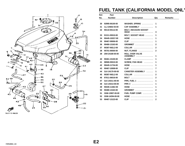<span id="page-49-0"></span>![](_page_49_Figure_0.jpeg)

# **FUEL TANK (CALIFORNIA MODEL ONLY**

| Ref. | Part            |                                                |                |                |
|------|-----------------|------------------------------------------------|----------------|----------------|
| No.  | <b>Number</b>   | <b>Description</b>                             | Qty            | <b>Remarks</b> |
|      |                 |                                                |                |                |
| 30   | 92995-06100-00  | WASHER, SPRING                                 | 1              |                |
| 31   | 1LJ-24602-03-00 | CAP ASSEMBLY                                   | 1              |                |
| 32   | 90110-05112-00  | <b>BOLT, HEXAGON SOCKET</b><br>$HEAD$          | 3              |                |
| 33   | 91311-05010-00  | BOLT, SOCKET HEAD                              | 1              |                |
| 34   | 90445-102G7-00  | $HOSE$                                         | 1              |                |
| 35   | 90467-09006-00  | <b>CLIP</b>                                    | 1              |                |
| 36   | 90480-13163-00  | GROMMET                                        | $\mathbf{2}$   |                |
| 37   | 90387-062L2-00  | <b>COLLAR</b><br>.                             | $\mathbf{2}$   |                |
| 38   | 95701-06500-00  | NUT, FLANGE                                    | $\mathbf{2}$   |                |
| 39   | 25H-24180-00-00 | <b>ROLL OVER VALVE</b><br><b>ASSEMBLY</b><br>. | 1              |                |
| 40   | 90461-15100-00  | <b>CLAMP</b><br>.                              | 1              |                |
| 41   | 98580-05010-00  | SCREW, PAN HEAD                                | 1              |                |
| 42   | 90445-11734-00  | HOSE                                           | 1              |                |
| 43   | 90467-10008-00  | <b>CLIP</b>                                    | 7              |                |
| 44   | 3LK-24170-00-00 | <b>CANISTER ASSEMBLY</b>                       | 1              |                |
| 45   | 90387-062L2-00  | <b>COLLAR</b><br>.                             | $\mathbf{2}$   |                |
| 46   | 97011-06016-00  | <b>BOLT</b>                                    | $\overline{2}$ |                |
| 47   | 3LK-24311-00-00 | PIPE, FUEL 1                                   | 1              |                |
| 48   | 3LK-24313-00-00 | PIPE 3<br>.                                    | 1              |                |
| 49   | 90445-114E2-00  | $HOSE$                                         | 1              |                |
| 50   | 90480-13163-00  | $GROMMET$                                      | $\mathbf{2}$   |                |
| 51   | 3GM-13907-00-00 | FUEL PUMP COMP.                                | 1              |                |
| 52   | 3GM-14294-00-00 | HOSE                                           | 1              |                |
| 53   | 90467-13123-00  | <b>CLIP</b><br>.                               | $\mathbf{2}$   |                |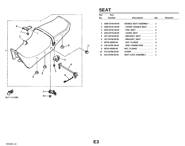![](_page_50_Figure_0.jpeg)

#### **SEAT**

| Ref. | Part            |                                                                |             |                |
|------|-----------------|----------------------------------------------------------------|-------------|----------------|
| No.  | <b>Number</b>   | <b>Description</b>                                             | Qty         | <b>Remarks</b> |
|      |                 |                                                                |             |                |
| 1    | 3GM-24730-00-00 | DOUBLE SEAT ASSEMBLY  1                                        |             |                |
| 2    | 3GM-24731-00-00 | . COVER, DOUBLE SEAT                                           | 1           |                |
| 3    | 2GH-24741-00-00 | $.$ PAD, SEAT $\,\,\ldots\,\ldots\,\ldots\,\ldots\,\ldots\,\,$ | 6           |                |
| 4    | 2GH-24776-00-00 | . LEVER, SEAT                                                  | 1           |                |
| 5.   | 1KT-24718-00-00 | . BRACKET, SEAT                                                | 1           |                |
| 6    | 1KT-24728-00-00 | . BRACKET, SEAT                                                | 1           |                |
| 7    | 95701-06500-00  | . NUT, FLANGE                                                  | 4           |                |
| 8    | 1JK-2478F-00-00 | . ROD, CONNECTING                                              | 1           |                |
| 9    | 95701-05500-00  | NUT, FLANGE                                                    | $\mathbf 2$ |                |
| 10   | 47X-24796-00-00 | <b>COVER</b>                                                   | 1           |                |
| 11   | 51X-24705-00-00 | <b>SEAT LOCK ASSEMBLY</b>                                      | 1           |                |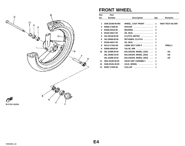![](_page_51_Figure_0.jpeg)

# **FRONT WHEEL**

| Ref.           | Part            |                           |                |                         |
|----------------|-----------------|---------------------------|----------------|-------------------------|
| No.            | <b>Number</b>   | <b>Description</b>        | Qty            | <b>Remarks</b>          |
|                |                 |                           |                |                         |
| 1              | 3GM-25168-00-WG | WHEEL, CAST FRONT  1      |                | <b>HIGH TECH SILVER</b> |
| $\mathbf{2}$   | 90560-17356-00  | SPACER                    | 1              |                         |
| 3              | 93306-20310-00  | BEARING                   | $\overline{2}$ |                         |
| 4              | 93102-25017-00  | OIL SEAL                  | 1              |                         |
| 5              | 341-25149-00-00 | CLUTCH, METER             | 1              |                         |
| 6              | 341-25846-00-00 | RETAINER, CLUTCH          | 1              |                         |
| $\overline{7}$ | 93105-45017-00  | OIL SEAL                  | 1              |                         |
| 8              | 94113-174U4-00  | $130/60$ ZR17-V280 P 1    |                | <b>PIRELLI</b>          |
| 9              | 93900-00030-00  | <b>VALVE, RIM</b> 1       |                |                         |
| 10             | 29L-25398-00-00 | BALANCER, WHEEL (10G)  1  |                | <b>UN</b>               |
|                | 29L-25398-10-00 | BALANCER, WHEEL (20G)  1  |                | UN                      |
|                | 29L-25398-20-00 | BALANCER, WHEEL (30G)  1  |                | <b>UN</b>               |
| 11             | 3MA-25190-00-00 | <b>GEAR UNIT ASSEMBLY</b> | 1              |                         |
| 12             | 3GM-25181-00-00 | AXLE, WHEEL               | 1              |                         |
| 13             | 90387-17530-00  | COLLAR                    | 1              |                         |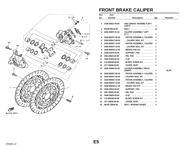![](_page_52_Figure_0.jpeg)

### **FRONT BRAKE CALIPER**

| Ref.         | <b>Part</b>     |                                               |              |                |
|--------------|-----------------|-----------------------------------------------|--------------|----------------|
| No.          | <b>Number</b>   | <b>Description</b>                            | Qty          | <b>Remarks</b> |
| 1            | 3GM-2581T-00-00 | <b>DISC BRAKE ASSEMBLYLEFT</b>                |              |                |
|              |                 | (LEFT)                                        | 2            |                |
| $\mathbf{2}$ | 90109-08718-00  | <b>BOLT</b>                                   | 12           |                |
| 3            | 3GM-2580T-01-00 | <b>CALIPER ASSEMBLY LEFT</b><br>$(LT.)$       | 1            |                |
| 4            | 3GM-W0057-00-00 | . PISTON ASSEMBLY, CALIPER                    | 1            |                |
| 5            | 3GM-W0047-00-00 | CALIPER SEAL KIT                              | 1            |                |
| 6            | 3GM-W0057-10-00 | . PISTON ASSEMBLY, CALIPER                    | 1            |                |
| 7            | 3GM-W0047-10-00 | CALIPER SEAL KIT                              | 1            |                |
| 8            | 3GM-W0045-11-00 | $BRAKE$ PAD KIT $\ldots \ldots$               | 1            |                |
| 9            | 3GM-25919-00-00 | $.$ SUPPORT, PAD $.$                          | 1            |                |
| 10           | 3HE-25924-00-00 | . PIN, PAD                                    | $\mathbf{2}$ |                |
| 11           | 3GM-25925-00-00 | $. CLIP$                                      | $\mathbf{2}$ |                |
| 12           | 1J3-W0048-00-00 | . BLEED SCREW KIT                             | 1            |                |
| 13           | 1KT-25836-00-00 | $.$ COVER, DUST $.$                           | 1            |                |
| 14           | 3GM-2580U-02-00 | <b>CALIPER ASSEMBLY RIGHT</b><br>(RIGHT)<br>. | 1            | <b>SLVR</b>    |
| 15           | 3GM-W0057-00-00 | . PISTON ASSEMBLY, CALIPER                    | 1            |                |
| 16           | 3GM-W0047-00-00 | . CALIPER SEAL KIT                            | 1            |                |
| 17           | 3GM-W0057-10-00 | . PISTON ASSEMBLY, CALIPER                    | 1            |                |
| 18           | 3GM-W0047-10-00 | CALIPER SEAL KIT                              | 1            |                |
| 19           | 3GM-W0045-11-00 | . BRAKE PAD KIT                               | 1            |                |
| 20           | 3GM-25919-00-00 | $.$ SUPPORT, PAD $.$                          | 1            |                |
| 21           | 3HE-25924-00-00 | . PIN, PAD                                    | $\mathbf{2}$ |                |
| 22           | 3GM-25925-00-00 |                                               | $\mathbf{2}$ |                |
| 23           | 1J3-W0048-00-00 | . BLEED SCREW KIT                             | 1            |                |
| 24           | 1KT-25836-00-00 | $.$ COVER, DUST $.$                           | 1            |                |
| 25           | 90105-10638-00  | <b>BOLT, WASHER BASED </b>                    | 4            |                |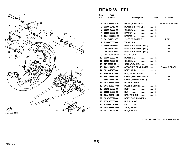![](_page_53_Figure_0.jpeg)

#### **REAR WHEEL**

| Ref. | Part            |                            |                |                         |
|------|-----------------|----------------------------|----------------|-------------------------|
| No.  | <b>Number</b>   | <b>Description</b>         | Qty            | <b>Remarks</b>          |
|      |                 |                            |                |                         |
| 1    | 3GM-25338-01-WG | WHEEL, CAST REAR           | 4              | <b>HIGH TECH SILVER</b> |
| 2    | 93306-30416-00  | <b>BEARING (B6304RS) </b>  | 2              |                         |
| 3    | 93106-40027-00  | OIL SEAL                   | 1              |                         |
| 4    | 90560-20357-00  | SPACER<br>.                | 1              |                         |
| 5    | 2GH-25364-00-00 | <b>DAMPER</b><br>.         | 5              |                         |
| 6    | 94117-173U9-00  | 170/60 ZR17-V280 P         | 1              | <b>PIRELLI</b>          |
| 7    | 93900-00030-00  | VALVE, RIM                 | 1              |                         |
| 8    | 29L-25398-00-00 | BALANCER, WHEEL (10G)      | 1              | <b>UN</b>               |
|      | 29L-25398-10-00 | BALANCER, WHEEL (20G)      | 1              | <b>UN</b>               |
|      | 29L-25398-20-00 | BALANCER, WHEEL (30G)      | 1              | UN                      |
| 9    | 36Y-25366-01-00 | CLUTCH, HUB                | 1              |                         |
| 10   | 93306-30507-00  | BEARING                    | 1              |                         |
| 11   | 93106-42026-00  | OIL SEAL                   | 1              |                         |
| 12   | 36Y-25377-00-00 | COLLAR, WHEEL              | 1              |                         |
| 13   | 2GH-25447-21-00 | SPROCKET, DRIVEN (47T)     | 1              | YAMAHA BLACK            |
| 14   | 90116-10485-00  | <b>BOLT, STUD</b>          | 6              |                         |
| 15   | 95601-10200-00  | NUT, SELF-LOCKING          | 6              |                         |
| 16   | 94571-31110-00  | CHAIN (RK532GSV2-110L)     | 1              | UR.                     |
|      | 94581-26110-00  | CHAIN (DID532ZLV-110L)     | 1              | UR.                     |
| 17   | 3GM-25388-00-00 | PULLER, CHAIN 1            | 1              |                         |
| 18   | 3GM-25389-00-00 | PULLER, CHAIN 2            | 1              |                         |
| 19   | 90101-08705-00  | <b>BOLT</b>                | $\mathbf 2$    |                         |
| 20   | 95333-08600-00  | NUT                        | $\overline{2}$ |                         |
| 21   | 3GM-25371-00-00 | BAR, TENSION               | 1              |                         |
| 22   | 90105-08321-00  | <b>BOLT, WASHER BASED </b> | $\mathbf 2$    |                         |
| 23   | 95701-08500-00  | NUT, FLANGE                | $\mathbf 2$    |                         |
| 24   | 91490-20020-00  | PIN, COTTER                | $\mathbf 2$    |                         |
| 25   | 3GM-25381-00-00 | AXLE, WHEEL                | 1              |                         |
| 26   | 90171-18043-00  | NUT, CASTLE                | 1              |                         |
|      |                 |                            |                |                         |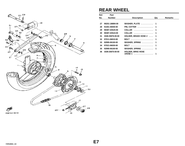<span id="page-54-0"></span>![](_page_54_Figure_0.jpeg)

#### **REAR WHEEL**

| Ref. | Part            |                                                  |     |                |
|------|-----------------|--------------------------------------------------|-----|----------------|
| No.  | <b>Number</b>   | <b>Description</b>                               | Qtv | <b>Remarks</b> |
|      |                 |                                                  |     |                |
| 27   | 90201-186M4-00  | WASHER, PLATE                                    | 1   |                |
| 28   | 91401-40040-00  | PIN, COTTER                                      | 1   |                |
| 29   | 90387-203U5-00  | COLLAR                                           | 1   |                |
| 30   | 90387-203U4-00  | COLLAR                                           | 1   |                |
| 31   | 3GM-25876-00-00 | HOLDER, BRAKE HOSE 2                             | 1   |                |
| 32   | 97011-06010-00  | BOLT $\ldots \ldots \ldots \ldots \ldots \ldots$ | 1   |                |
| 33   | 92995-06100-00  | WASHER, SPRING                                   | 1   |                |
| 34   | 97021-06030-00  | <b>BOLT</b>                                      | 1   |                |
| 35   | 92995-06100-00  | WASHER, SPRING                                   | 1   |                |
| 36   | 3GM-25875-00-00 | <b>HOLDER, BRKE HOSE</b><br>1HOSE 1              |     |                |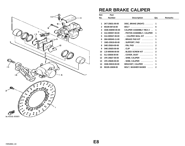![](_page_55_Picture_0.jpeg)

### **REAR BRAKE CALIPER**

| Ref.         | Part            |                                           |              |         |
|--------------|-----------------|-------------------------------------------|--------------|---------|
| No.          | <b>Number</b>   | <b>Description</b>                        | Qty          | Remarks |
|              |                 |                                           |              |         |
| 1            | 2KT-25831-00-00 | DISC, BRAKE (RIGHT)                       | 1            |         |
| $\mathbf{2}$ | 90109-08718-00  | <b>BOLT</b>                               | 6            |         |
| 3            | 3GM-2580W-00-00 | <b>CALIPER ASSEMBLY REA 2</b>             | 1            |         |
| 4            | 31A-W0057-00-00 | . PISTON ASSEMBLY, CALIPER                | 1            |         |
| 5            | 31A-W0047-00-00 | $\ldots$ CALIPER SEAL KIT $\ldots \ldots$ | 1            |         |
| 6            | 26H-W0045-11-00 | BRAKE PAD KIT                             | 1            |         |
| 7            | 1WG-25919-00-00 | $.$ SUPPORT, PAD $.$                      | 1            |         |
| 8            | 3HE-25924-00-00 | . PIN, PAD                                | $\mathbf{2}$ |         |
| 9            | 3HE-25925-00-00 |                                           | $\mathbf{2}$ |         |
| 10           | 1J3-W0048-00-00 | . BLEED SCREW KIT                         | $\mathbf{2}$ |         |
| 11           | 51J-25836-00-00 | $.$ COVER, DUST $.$                       | 1            |         |
| $12 \,$      | 1FK-25827-00-00 | . SHIM, CALIPER                           | 1            |         |
| 13           | 1FK-25828-00-00 | . SHIM, CALIPER                           | 1            |         |
| 14           | 3GM-25819-00-00 | BRACKET, CALIPER                          | 1            |         |
| 15           | 90105-10638-00  | <b>BOLT, WASHER BASED</b>                 | $\mathbf{2}$ |         |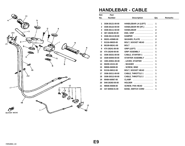![](_page_56_Figure_0.jpeg)

## **HANDLEBAR - CABLE**

| Ref.           | Part            |                                  |                |                |
|----------------|-----------------|----------------------------------|----------------|----------------|
| No.            | <b>Number</b>   | <b>Description</b>               | Qty            | <b>Remarks</b> |
|                |                 |                                  |                |                |
| 1              | 3GM-26121-00-00 | HANDLEBAR LH (LEFT)              | 1              |                |
| $\mathbf{2}$   | 3GM-26122-00-00 | HANDLEBAR RH (RT.)               | 1              |                |
| 3              | 3GM-26111-50-00 | HANDLEBAR                        | $\mathbf{2}$   |                |
| 4              | 36Y-26246-00-00 |                                  | $\mathbf{2}$   |                |
| 5              | 3GM-26113-00-00 | DAMPER $\ldots$ ,,,,,,,,,,,,,,,, | 4              |                |
| 6              | 90201-435M0-00  | WASHER, PLATE                    | $\mathbf{2}$   |                |
| $\overline{7}$ | 91316-08025-00  | BOLT, SOCKET HEAD                | $\overline{2}$ |                |
| 8              | 90109-082A1-00  | <b>BOLT</b>                      | $\overline{2}$ |                |
| 9              | 47X-26241-00-00 | GRIP (LEFT)                      | 1              |                |
| 10             | 47X-26240-00-00 | GRIP ASSEMBLY                    | 1              |                |
| 11             | 3GM-26331-00-00 | CABLE, STARTER 1                 | 1              |                |
| 12             | 3GM-83940-00-00 | <b>STARTER ASSEMBLY </b>         | 1              |                |
| 13             | 1WG-83941-00-00 | . LEVER, STARTER                 | 1              |                |
| 14             | 90209-10131-00  | <b>. WASHER</b>                  | 1              |                |
| 15             | 98906-06008-00  | $SCREW, BIND$                    | 1              |                |
| 16             | 91316-06012-00  | BOLT, SOCKET HEAD                | 1              |                |
| 17             | 3GM-26311-00-00 | CABLE, THROTTLE 1                | 1              |                |
| 18             | 3GM-26312-00-00 | CABLE, THROTTLE 2                | 1              |                |
| 19             | 90464-60067-00  | <b>CLAMP</b><br>.                | 1              |                |
| 20             | 5H0-26393-00-00 | <b>HOLDER</b><br>.               | 1              |                |
| 21             | 98506-05008-00  | SCREW, PAN HEAD                  | 1              |                |
| 22             | 437-83936-01-00 | <b>BAND, SWITCH CORD </b>        | 1              |                |
|                |                 |                                  |                |                |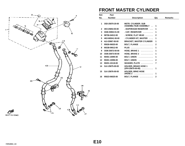![](_page_57_Figure_0.jpeg)

#### **FRONT MASTER CYLINDER**

| Ref.         | Part            |                                                        |              |                |
|--------------|-----------------|--------------------------------------------------------|--------------|----------------|
| No.          | <b>Number</b>   | <b>Description</b>                                     | Qty          | <b>Remarks</b> |
|              |                 |                                                        |              |                |
| 1            | 3SD-25870-20-00 | <b>MSTR. CYLINDER, SUB</b><br>ASSEMBLYSUB ASSEMBLY     | 1            |                |
| $\mathbf{2}$ | 4K0-25854-00-00 | . DIAPHRAGM RESERVOR                                   | 1            |                |
| 3            | 3GM-25852-01-00 | . CAP, RESERVOIR                                       | 1            |                |
| 4            | 98706-04012-00  | $.$ SCREW, FLAT HEAD $.$                               | 2            |                |
| 5            | 4K0-W0041-50-00 | . CYLINDER KIT, MASTER                                 | 1            |                |
| 6            | 4L0-25867-00-00 | <b>BRACKET, MASTER CYLINDER</b>                        | 1            |                |
| 7            | 95026-06025-00  | BOLT, FLANGE                                           | $\mathbf{2}$ |                |
| 8            | 90338-09012-00  | PLUG                                                   | 1            |                |
| 9            | 3GM-25872-00-00 | HOSE, BRAKE 1                                          | 1            |                |
| 10           | 3GM-25873-00-00 | HOSE, BRAKE 2                                          | 1            |                |
| 11           | 90401-10095-00  | BOLT, UNION                                            | 1            |                |
| 12           | 90401-10096-00  | BOLT, UNION                                            | $\mathbf{2}$ |                |
| 13           | 90201-10118-00  | WASHER, PLATE                                          | 7            |                |
| 14           | 3LK-25875-00-00 | <b>HOLDER, BRAKE HOSE 1</b><br>(3FH-25875-00-00)<br>.  | 1            |                |
| 15           | 3LK-25876-00-00 | <b>HOLDER, BRKE HOSE</b><br><b>2HOSE 2</b><br><u>.</u> | 1            |                |
| 16           | 95023-06025-00  | BOLT, FLANGE                                           | $\mathbf{2}$ |                |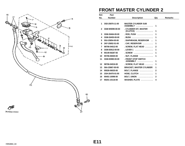![](_page_58_Figure_0.jpeg)

# **FRONT MASTER CYLINDER 2**

| Ref.         | Part            |                                                      |              |                |
|--------------|-----------------|------------------------------------------------------|--------------|----------------|
| No.          | <b>Number</b>   | <b>Description</b>                                   | Qty          | <b>Remarks</b> |
|              |                 |                                                      |              |                |
| 1            | 3SD-25870-11-00 | <b>MASTER CYLINDER SUB</b><br><b>ASSEMBLY</b><br>. 1 |              |                |
| $\mathbf{2}$ | 3GM-W0099-00-00 | . CYLINDER KIT, MASTER<br>$(CLUTCH)$                 | 1            |                |
| 3            | 3GM-26464-00-00 | . ROD, PUSH                                          | 1            |                |
| 4            | 3GM-26455-00-00 | . BUSH                                               | 1            |                |
| 5            | 55U-25854-00-00 | . DIAPHRAGM, RESERVOIR                               | 1            |                |
| 6            | 2KF-25852-01-00 | . CAP, RESERVOIR                                     | 1            |                |
| 7            | 98706-04012-00  | . SCREW, FLAT HEAD                                   | $\mathbf{2}$ |                |
| 8            | 3GM-83912-00-00 | $LEVER 1$                                            | 1            |                |
| 9            | 90149-06287-00  | . SCREW<br>.                                         | 1            |                |
| 10           | 95706-06500-00  | $. NUT, FLANGE$                                      | 1            |                |
| 11           | 3GM-83980-00-00 | . FRONT STOP SWITCH<br>ASSEMBLY                      | 1            |                |
| 12           | 98706-04016-00  | . SCREW, FLAT HEAD                                   | 1            |                |
| 13           | 56A-25867-00-00 | <b>BRACKET, MASTER CYLINDER</b>                      | 1            |                |
| 14           | 95026-06025-00  | BOLT, FLANGE                                         | $\mathbf{2}$ |                |
| 15           | 2GH-26470-01-00 | HOSE, CLUTCH                                         | 1            |                |
| 16           | 90401-10096-00  | BOLT, UNION                                          | $\mathbf{2}$ |                |
| 17           | 90201-10118-00  | WASHER, PLATE                                        | 4            |                |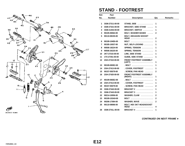![](_page_59_Figure_0.jpeg)

# **STAND - FOOTREST**

| Ref. | Part            |                                                |                |                |
|------|-----------------|------------------------------------------------|----------------|----------------|
| No.  | <b>Number</b>   | <b>Description</b>                             | Qty            | <b>Remarks</b> |
|      |                 |                                                |                |                |
| 1    | 3GM-27311-00-00 | STAND, SIDE                                    | 1              |                |
| 2    | 3GM-27321-00-00 | <b>BRACKET, SIDE STAND </b>                    | 1              |                |
| 3    | 3GM-21453-00-00 | <b>BRACKET, SWITCH </b>                        | 1              |                |
| 4    | 90105-06564-00  | <b>BOLT, WASHER BASED </b>                     | 2              |                |
| 5    | 90110-08155-00  | <b>BOLT, HEXAGON SOCKET</b><br>HEAD            | 2              |                |
| 6    | 90109-104E6-00  | <b>BOLT</b>                                    | 1              |                |
| 7    | 90185-10037-00  | NUT, SELF-LOCKING                              | 1              |                |
| 8    | 90506-18224-00  | SPRING, TENSION                                | 1              |                |
| 9    | 90506-26225-00  | SPRING, TENSION                                | 1              |                |
| 10   | 2KT-27315-00-00 | LINK, SIDE STAND<br><u>.</u>                   | 1              |                |
| 11   | 1TX-27351-00-00 | GUIDE, SIDE STAND                              | 1              |                |
| 12   | 2GH-27410-00-00 | <b>FRONT FOOTREST ASSEMBLY</b><br>(LEFT)       | 1              |                |
| 13   | 90109-083E2-00  | .BOLT                                          | 1              |                |
| 14   | 2GH-27413-00-00 | . COVER, FOOTREST<br>.                         | 1              |                |
| 15   | 90157-05079-00  | . SCREW, PAN HEAD                              | $\overline{2}$ |                |
| 16   | 2GH-27420-00-00 | <b>FRONT FOOTREST ASSEMBLY</b><br>(RIGHT)<br>. | 1              |                |
| 17   | 90109-083E2-00  | . BOLT                                         | 1              |                |
| 18   | 2GH-27413-00-00 | . COVER, FOOTREST<br>1.1.1.1.1.1               | 1              |                |
| 19   | 90157-05079-00  | . SCREW, PAN HEAD<br>.                         | $\mathbf{2}$   |                |
| 20   | 3GM-27442-00-00 | $BRACKET 2$                                    | 1              |                |
| 21   | 3GM-27443-00-00 | <b>BRACKET 3</b>                               | 1              |                |
| 22   | 90214-10056-00  | WASHER, CLAW                                   | $\mathbf{2}$   |                |
| 23   | 90109-103A9-00  | BOLT                                           | $\mathbf{2}$   |                |
| 24   | 90206-17084-00  | WASHER, WAVE                                   | $\overline{2}$ |                |
| 25   | 90110-08066-00  | <b>BOLT, HEX SKT HEADSOCKET</b><br>HEAD        | 4              |                |
| 26   | 3GM-2741L-00-00 | <b>BRACKET 4 </b>                              | 1              |                |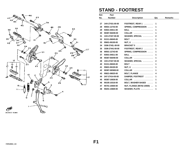<span id="page-60-0"></span>![](_page_60_Figure_0.jpeg)

# **STAND - FOOTREST**

| Ref.<br>No. | Part<br><b>Number</b> | <b>Description</b>          | Qty          | <b>Remarks</b> |
|-------------|-----------------------|-----------------------------|--------------|----------------|
|             |                       |                             |              |                |
| 27          | 1HX-27431-00-00       | FOOTREST, REAR 1            | 1            |                |
| 28          | 90501-12743-00        | SPRING, COMPRESSION         | 1            |                |
| 29          | 93501-04011-00        | <b>BALL</b>                 | 1            |                |
| 30          | 90387-064H8-00        | COLLAR                      | 1            |                |
| 31          | 1HX-27437-00-00       | WASHER, SPECIAL             | $\mathbf{2}$ |                |
| 32          | 91311-06045-00        | <b>BOLT</b>                 | 1            |                |
| 33          | 95601-06100-00        | NUT, U                      | 1            |                |
| 34          | 3GM-2742L-00-00       | <b>BRACKET 5</b>            | 1            |                |
| 35          | 3GM-27441-00-00       | FOOTREST, REAR 2            | 1            |                |
| 36          | 90501-12743-00        | <b>SPRING, COMPRESSION </b> | 1            |                |
| 37          | 93501-04011-00        | <b>BALL</b>                 | 1            |                |
| 38          | 90387-064H8-00        | <b>COLLAR</b><br>.          | 1            |                |
| 39          | 1HX-27437-00-00       | WASHER, SPECIAL             | $\mathbf{2}$ |                |
| 40          | 91311-06045-00        | <b>BOLT</b>                 | 1            |                |
| 41          | 95601-06100-00        | NUT, U                      | 1            |                |
| 42          | 90387-083W8-00        | COLLAR                      | 1            |                |
| 43          | 95821-08025-00        | BOLT, FLANGE                | 4            |                |
| 44          | 2H7-27414-00-00       | DAMPER, FOOTREST            | 1            |                |
| 45          | 90387-10636-00        | $COLLAR$                    | 1            |                |
| 46          | 90105-10316-00        | <b>BOLT, WASHER BASED </b>  | 1            |                |
| 47          | 95701-10500-00        | NUT, FLANGE (95702-10500)   | 1            |                |
| 48          | 90201-10669-00        | WASHER, PLATE               | 1            |                |
|             |                       |                             |              |                |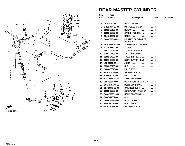![](_page_61_Figure_0.jpeg)

### **REAR MASTER CYLINDER**

| Ref. | Part            |                                         |             |                |
|------|-----------------|-----------------------------------------|-------------|----------------|
| No.  | <b>Number</b>   | <b>Description</b>                      | Qty         | <b>Remarks</b> |
|      |                 |                                         |             |                |
| 1    | 2GH-27211-00-00 | PEDAL, BRAKE                            | 1           |                |
| 2    | 2TK-27813-00-00 | PIN, PEDAL CRANK                        | 1           |                |
| 3    | 95611-08100-00  |                                         | 1           |                |
| 4    | 90508-20737-00  | SPRING, TORSION                         | 1           |                |
| 5    | 90446-17267-00  | HOSE                                    | 1           |                |
| 6    | 3GM-2583V-00-00 | <b>RR. MASTER CYLINDER</b><br>ASSEMBLY. | 1           |                |
| 7    | 2KR-W0042-50-00 | . CYLINDER KIT, MASTER                  | 1           |                |
| 8    | 93210-15620-00  | . O-RING                                | 1           |                |
| 9    | 98511-04012-00  | . SCREW, PAN HEAD                       | 1           |                |
| 10   | 92901-04100-00  | . WASHER, SPRING                        | 1           |                |
| 11   | 92901-04600-00  | $.$ WASHER, PLATE $.$                   | 1           |                |
| 12   | 92011-08030-00  | <b>BOLT, BUTTON HEAD </b>               | 2           |                |
| 13   | 47X-27222-00-00 | <b>JOINT</b>                            | 1           |                |
| 14   | 95303-08700-00  |                                         | 1           |                |
| 15   | 90240-08013-00  | PIN, CLEVIS                             | 1           |                |
| 16   | 90201-08083-00  | WASHER, PLATE                           | 1           |                |
| 17   | 91490-20020-00  | PIN, COTTER                             | 1           |                |
| 18   | 47X-25894-00-00 | TANK, RESERVOIR                         | 1           |                |
| 19   | 360-25854-00-00 | DIAPHRAGM, RESERVOIR                    | 1           |                |
| 20   | 2GU-25855-00-00 | BUSH, DIAPHRAGM                         | 1           |                |
| 21   | 2KF-25852-50-00 | CAP, RESERVOIR                          | 1           |                |
| 22   | 90159-06085-00  | <b>SCREW, WITH WASHER </b>              | 1           |                |
| 23   | 3GM-25895-00-00 | HOSE, RESERVOIR                         | 1           |                |
| 24   | 90467-14057-00  | <b>CLIP</b>                             | $\mathbf 2$ |                |
| 25   | 3GM-25874-00-00 | HOSE, BRAKE                             | 1           |                |
| 26   | 90401-10096-00  | <b>BOLT, UNION</b><br>.                 | $\mathbf 2$ |                |
| 27   | 90201-10118-00  | WASHER, PLATE                           | 4           |                |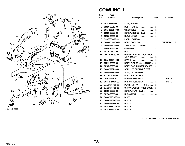![](_page_62_Figure_0.jpeg)

3LK4110-0380

## **COWLING 1**

| Ref.         | Part            |                                                      |                         |                      |
|--------------|-----------------|------------------------------------------------------|-------------------------|----------------------|
| No.          | <b>Number</b>   | <b>Description</b>                                   | Qty                     | <b>Remarks</b>       |
|              |                 |                                                      |                         |                      |
| 1            | 3GM-2831W-00-00 | STAY, MIRROR 1                                       | 1                       |                      |
| $\mathbf{2}$ | 95026-06012-00  | BOLT, FLANGE                                         | $\mathbf{2}$            |                      |
| 3            | 3GM-28381-00-00 | WINDSHEILD                                           | 1                       |                      |
| 4            | 90150-05020-00  | <b>SCREW, ROUND HEAD </b>                            | 6                       |                      |
| 5            | 95706-05500-00  | NUT, FLANGE                                          | $6\phantom{1}6$         |                      |
| 6            | 3JJ-2835Y-00-00 | LABEL, CAUTION                                       | 1                       |                      |
| 7            | 3GM-W2834-50-P0 | BODY, COWLING                                        | $\mathbf 1$             | <b>BLK METALL. 2</b> |
| 8            | 3GM-28390-50-00 | . GRPHC SET, COWLING                                 | 1                       |                      |
| 9            | 90480-14229-00  | <b>GROMMET</b>                                       | 4                       |                      |
| 10           | 90179-06500-00  | NUT                                                  | 4                       |                      |
| 11           | 3LE-28356-50-00 | <b>UNAVAILABLE IN PRICE BOOK</b><br>$(3GM-28356-00)$ | 1                       |                      |
| 12           | 3GM-28357-00-00 | STAY 2                                               | 1                       |                      |
| 13           | 95811-08035-00  | BOLT, FLANGE (95821-08035).                          | 2                       |                      |
| 14           | 90105-08295-00  | <b>BOLT, WASHER BASEDBASED</b>                       | 2                       |                      |
| 15           | 3GM-28321-00-00 | STAY, LEG SHIELD L (LEFT)                            | 1                       |                      |
| 16           | 3GM-28322-00-00 | STAY, LEG SHIELD R                                   | 1                       |                      |
| 17           | 91316-06012-00  | <b>BOLT, SOCKET HEAD </b>                            | $\mathbf{2}$            |                      |
| 18           | 2GH-26280-10-00 | MIRROR ASSEMBLY                                      | 1                       | <b>WHITE</b>         |
| 19           | 2GH-26290-10-00 | MIRROR ASSEMBLY                                      | 1                       | <b>WHITE</b>         |
| 20           | 1AE-26298-00-00 | PLATE, MIRROR FITTING 1                              | 2                       |                      |
| 21           | 3AE-26299-00-00 | <b>UNAVAILABLE IN PRICE BOOK</b>                     | 2                       |                      |
| 22           | 98706-06030-00  | <b>SCREW, FLAT HEAD </b>                             | $\overline{\mathbf{4}}$ |                      |
| 23           | 90176-06055-00  | NUT, CROWN                                           | 4                       |                      |
| 24           | 3GM-2838N-00-00 | $DUCT 1$                                             | 1                       |                      |
| 25           | 3GM-2838R-00-00 | <b>DUCT 2</b>                                        | 1                       |                      |
| 26           | 3GM-2838T-01-00 | <b>DUCT 3</b><br>.                                   | 1                       |                      |
| 27           | 3GM-2838U-01-00 | DUCT 4                                               | 2                       |                      |
| 28           | 3GM-2838J-01-00 | <b>DUCT 5</b><br>.                                   | 1                       |                      |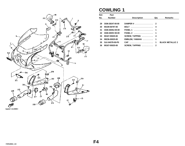<span id="page-63-0"></span>![](_page_63_Figure_0.jpeg)

#### **COWLING 1**

| Ref. | Part            |                    |     |                         |
|------|-----------------|--------------------|-----|-------------------------|
| No.  | <b>Number</b>   | <b>Description</b> | Qty | <b>Remarks</b>          |
|      |                 |                    |     |                         |
| 29   | 3GM-28247-00-00 | DAMPER 4  2        |     |                         |
| 30   | 90109-06797-00  |                    |     |                         |
| 31   | 3GM-2835U-00-00 | PANEL 1  1         |     |                         |
| 32   | 3GM-2835V-00-00 | PANEL 2  1         |     |                         |
| 33   | 90167-05025-00  | SCREW, TAPPING  4  |     |                         |
| 34   | 99236-00025-00  | EMBLEM, YAMAHA  1  |     |                         |
| 35   | 3LK-84378-00-P0 | CAP  1             |     | <b>BLACK METALLIC 2</b> |
| 36   | 90167-05025-00  | SCREW, TAPPING  2  |     |                         |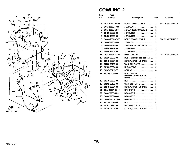![](_page_64_Figure_0.jpeg)

## **COWLING 2**

| Ref.           | Part            |                                                           |                |                         |
|----------------|-----------------|-----------------------------------------------------------|----------------|-------------------------|
| No.            | <b>Number</b>   | <b>Description</b>                                        | Qty            | <b>Remarks</b>          |
|                |                 |                                                           |                |                         |
| 1              | 3GM-Y283J-40-P0 | <b>BODY, FRONT LOWE 1 </b>                                | 1              | <b>BLACK METALLIC 2</b> |
| $\overline{2}$ | 3GM-28328-50-00 | . EMBLEM<br>.                                             | 1              |                         |
| 3              | 3GM-2836V-50-00 | . GRAPHICSET3 COWLIN                                      | 1              |                         |
| 4              | 90480-35526-00  | .GROMMET                                                  | 1              |                         |
| 5              | 90480-13398-00  |                                                           | 2              |                         |
| 6              | 3GM-Y283K-40-P0 | <b>BODY, FRONT LOWE 2 </b>                                | 1              | <b>BLACK METALLIC 2</b> |
| 7              | 3GM-28338-50-00 | . EMBLEM<br>.                                             | 1              |                         |
| 8              | 3GM-2836W-50-00 | . GRAPHICSET4 COWLIN                                      | 1              |                         |
| 9              | 90480-35526-00  |                                                           | 1              |                         |
| 10             | 90480-13398-00  | . GROMMET                                                 | $\mathbf{2}$   |                         |
| 11             | 3GM-2836K-00-P0 | PANEL, INNER 1                                            | 1              | <b>BLACK METALLIC 2</b> |
| 12             | 90110-05079-00  | BOLT, hexagon socket head                                 | 4              |                         |
| 13             | 90149-05224-00  | <b>SCREW, SPEC"L SHAPE</b><br>$\cdots$                    | 4              |                         |
| 14             | 90202-05180-00  | WASHER, PLATE                                             | 8              |                         |
| 15             | 90183-05024-00  | NUT, SPRING                                               | 8              |                         |
| 16             | 90387-067N5-00  | <b>COLLAR</b><br>.                                        | 4              |                         |
| 17             | 90110-06083-00  | <b>BOLT, HEX SKT</b><br><b>HEADHEXAGON SOCKET</b><br>HEAD | 4              |                         |
| 18             | 90179-05523-00  |                                                           | 2              |                         |
| 19             | 90202-05180-00  | WASHER, PLATE                                             | $\overline{2}$ |                         |
| 20             | 90149-05224-00  | SCREW, SPEC"L SHAPE                                       | 2              |                         |
| 21             | 3GM-2836A-00-00 | <b>BRACKET 1</b>                                          | 1              |                         |
| 22             | 3GM-2836E-00-00 | BRACKET 2                                                 | 1              |                         |
| 23             | 3GM-2836F-00-00 | <b>BRACKET 3 </b>                                         | 1              |                         |
| 24             | 3GM-2836G-00-00 | $BRACKET 4$                                               | 1              |                         |
| 25             | 90179-05523-00  | NUT                                                       | 4              |                         |
| 26             | 90202-05180-00  | WASHER, PLATE                                             | 4              |                         |
| 27             | 90149-05224-00  | <b>SCREW, SPEC"L SHAPE</b><br>$\cdots$                    | 4              |                         |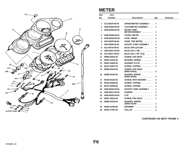![](_page_65_Figure_0.jpeg)

## **METER**

| Ref. | Part            |                                                  |              |                |
|------|-----------------|--------------------------------------------------|--------------|----------------|
| No.  | <b>Number</b>   | <b>Description</b>                               | Qty          | <b>Remarks</b> |
|      |                 |                                                  |              |                |
| 1    | 3LG-83570-00-00 | SPEEDOMETER ASSEMBLY                             | 1            |                |
| 2    | 3GM-83540-00-00 | TACHOMETER ASSEMBLY                              | 1            |                |
| 3    | 3GM-83590-00-00 | <b>WATER TEMP</b><br>METERASSEMBLY               | 1            |                |
| 4    | 3GM-83559-00-00 | COVER, METER                                     | 1            |                |
| 5    | 3GM-8353H-00-00 | CASE, UNDER                                      | 1            |                |
| 6    | 2GH-83578-00-00 | <b>KNOB, TRIP METER</b><br>.                     | 1            |                |
| 7    | 3HE-83509-50-00 | <b>SOCKET CORD ASSEMBLY</b>                      | 1            |                |
| 8    | 4G1-84744-00-00 | BULB, MTR.12V3.4W                                | 4            |                |
| 9    | 3GM-83517-00-00 | BULB (12V-1.7W)                                  | 3            |                |
| 10   | 2GV-83517-00-00 | <b>BULB (12V-1.7W, T6.5)</b><br>.                | 1            |                |
| 11   | 98580-04010-00  | <b>SCREW, PAN HEAD</b><br>.                      | 4            |                |
| 12   | 92901-04100-00  | WASHER, SPRING                                   | 4            |                |
| 13   | 92901-04600-00  | WASHER, PLATE                                    | 4            |                |
| 14   | 90167-04057-00  | SCREW, TAPPING                                   | $\mathbf{2}$ |                |
| 15   | 98580-03010-00  | <b>SCREW, PAN HEAD</b><br>$(98502 - 03010)$<br>. | 3            |                |
| 16   | 92990-03100-00  | <b>WASHER, SPRING</b><br>(92901-03100)<br>.      | 3            |                |
| 17   | 90159-03102-00  | <b>SCREW, WITH WASHER</b><br>$\cdots$            | 3            |                |
| 18   | 90164-04008-00  | SCREW, TAPPING                                   | 4            |                |
| 19   | 90167-03058-00  | SCREW, TAPPING                                   | 1            |                |
| 20   | 3GM-83520-00-00 | <b>SOCKET CORD ASSEMBLY</b><br>$\sim$ .          | 1            |                |
| 21   | 3GM-83513-00-00 | <b>DAMPER</b><br>.                               | 1            |                |
| 22   | 3GM-83525-00-00 | CLIP<br>.                                        | 3            |                |
| 23   | 98501-03012-00  | <b>SCREW, PAN HEAD</b><br>.                      | 1            |                |
| 24   | 92990-03100-00  | <b>WASHER, SPRING</b><br>.<br>(92901-03100)      | 1            |                |
| 25   | 90480-14229-00  | <b>GROMMET</b>                                   | 2            |                |
| 26   | 90387-07391-00  | <b>COLLAR</b><br>.                               | $\mathbf{2}$ |                |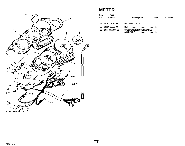<span id="page-66-0"></span>![](_page_66_Figure_0.jpeg)

### **METER**

| Ref. | Part            |                                           |     |                |
|------|-----------------|-------------------------------------------|-----|----------------|
| No.  | <b>Number</b>   | <b>Description</b>                        | Qtv | <b>Remarks</b> |
| 27   | 90201-06059-00  | WASHER, PLATE  2                          |     |                |
| 28   | 95316-06600-00  |                                           |     |                |
| 29   | 2GH-83550-00-00 | <b>SPEEDOMETER CABLECABLE</b><br>ASSEMBLY |     |                |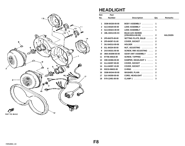![](_page_67_Figure_0.jpeg)

## **HEADLIGHT**

| Ref.         | Part            |                                                                               |              |                |
|--------------|-----------------|-------------------------------------------------------------------------------|--------------|----------------|
| No.          | <b>Number</b>   | <b>Description</b>                                                            | Qty          | <b>Remarks</b> |
|              |                 |                                                                               |              |                |
| 1            | 3GM-84330-00-00 | BODY ASSEMBLY                                                                 | 1            |                |
| $\mathbf{2}$ | 3LG-84320-00-00 | <b>LENS ASSEMBLY</b><br>.                                                     | 1            |                |
| 3            | 3LG-8432A-00-00 | <b>LENS ASSEMBLY</b><br>.                                                     | 1            |                |
| 4            | 1ML-84314-00-XX | <b>BULB (12V-35/35W)</b><br>$(1FM-84314-H0-00)$                               | $\mathbf{2}$ | <b>HALOGEN</b> |
| 5            | 2F9-84375-00-00 | <b>SETTING PLATE, BULB </b>                                                   | $\mathbf{2}$ |                |
| 6            | 2F9-84397-01-00 | COVER, SOCKET                                                                 | $\mathbf{2}$ |                |
| 7            | 3AJ-8431U-00-00 | <b>HOLDER</b><br>.                                                            | $\mathbf{2}$ |                |
| 8            | 51L-84334-00-00 | NUT, ADJUSTING                                                                | 4            |                |
| 9            | 2AX-84331-00-00 | <b>SCREW, RIM ADJUSTING</b>                                                   | $\mathbf{2}$ |                |
| 10           | 3MA-8430M-00-00 | <b>GEAR UNIT ASSEMBLY</b><br>$\overline{a}$ . $\overline{a}$ . $\overline{a}$ | $\mathbf{2}$ |                |
| 11           | 97706-40616-00  | SCREW, TAPPING                                                                | 4            |                |
| 12           | 3HE-84366-00-00 | <b>DAMPER, HEADLIGHT 1</b><br>$\mathbf{1}$                                    | 1            |                |
| 13           | 2LA-84397-00-00 | COVER, SOCKET                                                                 | 1            |                |
| 14           | 2LA-84397-10-00 | COVER, SOCKET                                                                 | 1            |                |
| 15           | 93210-06632-00  | <b>O-RING</b><br>.                                                            | $\mathbf{2}$ |                |
| 16           | 3GM-84344-00-00 | WASHER, PLAIN                                                                 | $\mathbf{2}$ |                |
| 17           | 3LK-84359-00-00 | CORD, HEADLIGHT                                                               | 1            |                |
| 18           | 5Y9-12491-00-00 | <b>CLAMP1</b><br>.                                                            | 3            |                |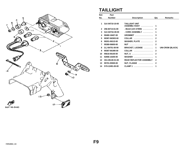![](_page_68_Figure_0.jpeg)

#### **TAILLIGHT**

| Ref.           | Part            |                                       |                |                         |
|----------------|-----------------|---------------------------------------|----------------|-------------------------|
| No.            | <b>Number</b>   | <b>Description</b>                    | Qty            | <b>Remarks</b>          |
| 1              | 3LK-84710-10-00 | <b>TAILLIGHT UNIT</b><br>ASSEMBLYASSY |                |                         |
| $\overline{2}$ | 256-84714-61-00 | . BULB (12V-27/8W)                    | $\mathbf{2}$   |                         |
| 3              | 3LK-8473A-00-00 | . CORD ASSEMBLY                       | 1              |                         |
| 4              | 90480-18407-00  | GROMMET                               | 3              |                         |
| 5              | 90387-062W3-00  | COLLAR                                | $\mathbf 2$    |                         |
| 6              | 90201-063J2-00  | WASHER, PLATE                         | $\mathbf{2}$   |                         |
| $\overline{7}$ | 95380-06600-00  | NUT                                   | $\mathbf{2}$   |                         |
| 8              | 2LJ-84751-00-90 | <b>BRACKET, LICENSE</b>               | 1              | <b>UNI-CROM (BLACK)</b> |
| 9              | 90387-061M0-00  | COLLAR                                | 2              |                         |
| 10             | 95616-06100-00  |                                       | $\overline{2}$ |                         |
| 11             | 92906-10200-00  | WASHER                                | 1              |                         |
| 12             | 3G1-85130-01-00 | <b>REAR REFLECTOR ASSEMBLY</b>        | $\mathbf{2}$   |                         |
| 13             | 95701-05500-00  | NUT, FLANGE                           | $\mathbf{2}$   |                         |
| 14             | 5Y9-12491-00-00 | <b>CLAMP 1</b>                        | 1              |                         |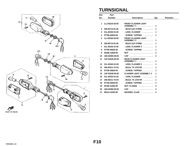![](_page_69_Figure_0.jpeg)

# **TURNSIGNAL**

| Ref.         | Part            |                                          |              |                |
|--------------|-----------------|------------------------------------------|--------------|----------------|
| No.          | <b>Number</b>   | <b>Description</b>                       | Qty          | <b>Remarks</b> |
|              |                 |                                          |              |                |
| 1            | 1LJ-83310-20-00 | <b>FRONT FLASHER LIGHT</b><br>ASSEMBLY 1 | 1            |                |
| $\mathbf{2}$ | 256-84714-61-00 | . BULB (12V-27/8W)                       | 1            |                |
| 3            | 51L-83332-01-00 | . LENS, FLASHER                          | 1            |                |
| 4            | 97706-40620-00  | . SCREW, TAPPING                         | 1            |                |
| 5            | 1LJ-83320-20-00 | <b>FRONT FLASHER LIGHT</b><br>ASSEMBLY 2 | 1            |                |
| 6            | 256-84714-61-00 | $.BULB (12V-27/8W) \ldots \ldots$        | 1            |                |
| 7            | 51L-83342-01-00 | . LENS, FLASHER $2$                      | 1            |                |
| 8            | 97706-40620-00  | . SCREW, TAPPING                         | 1            |                |
| 9            | 95306-12600-00  |                                          | $\mathbf{2}$ |                |
| 10           | 18G-83365-00-00 | CAP                                      | $\mathbf{2}$ |                |
| 11           | 1UF-83330-00-00 | <b>REAR FLASHER LIGHT</b><br>ASSEMBLY 1  | 1            |                |
| $12 \,$      | 51L-83342-01-00 | . LENS, FLASHER 2                        | 1            |                |
| 13           | 256-83311-70-XX | . BULB, TS 12V27W                        | 1            |                |
| 14           | 97706-40620-00  | . SCREW, TAPPING                         | 1            |                |
| 15           | 1UF-83340-00-00 | <b>FLASHER LIGHT ASSEMBLY 2</b>          | 1            |                |
| 16           | 51L-83332-01-00 | LENS, FLASHER                            | 1            |                |
| 17           | 256-83311-70-XX | . BULB, TS 12V27W                        | 1            |                |
| 18           | 97706-40620-00  | . SCREW, TAPPING                         | 1            |                |
| 19           | 95706-12500-00  | NUT, FLANGE                              | $\mathbf{2}$ |                |
| 20           | 18G-83365-00-00 | CAP                                      | $\mathbf{2}$ |                |
| 21           | 90214-12033-00  | WASHER, CLAW                             | $\mathbf{2}$ |                |

-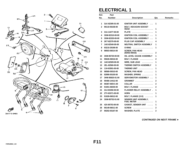![](_page_70_Figure_0.jpeg)

# **ELECTRICAL 1**

| Ref. | Part                   |                                                  |                |                |
|------|------------------------|--------------------------------------------------|----------------|----------------|
| No.  | <b>Number</b>          | <b>Description</b>                               | Qty            | <b>Remarks</b> |
|      |                        |                                                  |                |                |
| 1    | 3LK-82305-01-00        | IGNITOR UNIT ASSEMBLY                            | 1              |                |
| 2    | 90110-06158-00         | <b>BOLT, HEXAGON SOCKET</b><br><b>HEAD</b>       | 1              |                |
| 3    | 31A-14477-00-00        | <b>PLATE</b>                                     | 1              |                |
| 4    | 3GM-82310-00-00        | IGNITION COIL ASSEMBLY                           | 1              |                |
| 5    | 3GM-82320-00-00        | IGNITION COIL ASSEMBLY                           | 1              |                |
| 6    | 2KT-82370-00-00        | PLUG CAP ASSEMBLY                                | 4              |                |
| 7    | 1AE-82540-00-00        | <b>NEUTRAL SWITCH ASSEMBLY</b>                   | 1              |                |
| 8    | 93210-29196-00         | <b>O-RING</b><br>.                               | 1              |                |
| 9    | 98503-06014-00         | <b>SCREW, PAN HEAD</b><br>$(92502 - 06016)$<br>. | $\mathbf{2}$   |                |
| 10   | 3GM-85720-00-00        | OIL LEVEL GAUGE ASSEMBLY                         | 1              |                |
| 11   | 95026-06016-00         | BOLT, FLANGE                                     | $\mathbf 2$    |                |
| 12   | 1AE-82509-00-00        | WIRE, SUB LEAD                                   | 1              |                |
| 13   | <b>2EL-82560-00-00</b> | <b>THERMO SWITCH ASSEMBLY</b>                    | 1              |                |
| 14   | 11H-83591-00-00        | THERMO UNIT                                      | 1              |                |
| 15   | 98580-05010-00         | SCREW, PAN HEAD                                  | 1              |                |
| 16   | 92990-05100-00         | WASHER, SPRING                                   | 1              |                |
| 17   | 3HW-85820-01-00        | <b>SERVOMOTOR ASSEMBLY </b>                      | 1              |                |
| 18   | 90480-14412-00         | GROMMET                                          | 2              |                |
| 19   | 90387-065V1-00         | COLLAR                                           | $\mathbf{2}$   |                |
| 20   | 91001-06030-00         | BOLT, FLANGE                                     | $\mathbf{2}$   |                |
| 21   | 2UJ-83350-00-00        | <b>FLASHER RELAY ASSEMBLY.</b>                   | 1              |                |
| 22   | 2TV-83371-00-00        | <b>HORN</b><br>.                                 | 1              |                |
| 23   | 91026-06012-00         | BOLT, FLANGE (1VJ)                               | 1              |                |
| 24   | 3GM-85752-01-00        | <b>SENDER UNIT ASSEMBLY,</b><br>FUEL METER       | 1              |                |
| 25   | 42X-85753-00-00        | <b>GASKET, SENDER UNIT </b>                      | 1              |                |
| 26   | 90149-06011-00         | $SCREW$ ,,,,,,,,,,,,,,,,,,,,,                    | 2              |                |
| 27   | 90202-05187-00         | WASHER, PLATE                                    | $\overline{2}$ |                |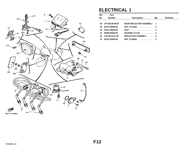<span id="page-71-0"></span>![](_page_71_Figure_0.jpeg)

# **ELECTRICAL 1**

| Ref.            | Part            |                                |                |                |
|-----------------|-----------------|--------------------------------|----------------|----------------|
| No.             | <b>Number</b>   | <b>Description</b>             | Qty            | <b>Remarks</b> |
|                 |                 |                                |                |                |
| 28              | 1FK-85130-00-00 | <b>REAR REFLECTOR ASSEMBLY</b> | $\blacksquare$ |                |
| 29              | 95701-05500-00  | NUT, FLANGE  2                 |                |                |
| 30              | 97011-06020-00  |                                |                |                |
| 31              | 92990-06600-00  | WASHER, PLATE  4               |                |                |
| 32 <sub>2</sub> | 11H-85110-01-00 | REFLECTOR ASSEMBLY  2          |                |                |
| 33              | 95701-05500-00  | NUT, FLANGE  2                 |                |                |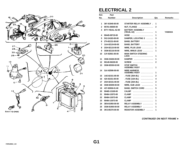

## **ELECTRICAL 2**

| Ref.         | <b>Part</b>     |                                            |              |                |
|--------------|-----------------|--------------------------------------------|--------------|----------------|
| No.          | <b>Number</b>   | <b>Description</b>                         | Qty          | <b>Remarks</b> |
|              |                 |                                            |              |                |
| 1            | 36Y-81940-00-00 | <b>STARTER RELAY ASSEMBLY</b> .            | 1            |                |
| $\mathbf{2}$ | 95701-06500-00  | <b>NUT, FLANGE</b>                         | $\mathbf{2}$ |                |
| 3            | BTY-YB14L-A2-00 | <b>BATTERY ASSEMBLY</b><br>.<br>(YB14L-A2) | 1            | YAMAHA         |
| 4            | 90445-08719-00  | <b>HOSE</b>                                | 1            |                |
| 5            | 5X2-24183-00-00 | DAMPER, LOCATING 3                         | 3            |                |
| 6            | 2T4-82131-00-00 | BAND, BATTERY                              | 1            |                |
| 7            | 1UA-82124-00-00 | BAND, BATTERY                              | 1            |                |
| 8            | 2GH-82115-00-00 | WIRE, PLUS LEAD                            | 1            |                |
| 9            | 3GM-82116-00-00 | WIRE, MINUS LEAD                           | 1            |                |
| 10           | 3JV-82501-00-00 | <b>MAIN SWITCH STEERING</b><br>LOCK        | 1            |                |
| 11           | 3GM-23426-00-00 | <b>DAMPER</b><br>.                         | 1            |                |
| 12           | 90149-06228-00  | <b>SCREW</b><br>.                          | 2            |                |
| 13           | 3GM-82530-02-00 | <b>STOP SWITCH</b><br>ASSEMBLYASSY         | 1            |                |
| 14           | 3LK-82590-00-00 | <b>WIRE HARNESS</b><br>ASSEMBLYASSY        | 1            |                |
| 15           | 1AE-82151-00-00 | .<br>. FUSE (30A-BL)                       | 2            |                |
| 16           | 42X-82151-00-00 | . FUSE (10A-BL)<br>.                       | 4            |                |
| 17           | 2GH-82151-00-00 | . FUSE (20A-BL)<br>.                       | 2            |                |
| 18           | 3GM-82509-00-00 | <b>WIRE, SUB LEAD</b><br>.                 | 1            |                |
| 19           | 437-83936-01-00 | <b>BAND, SWITCH CORD </b>                  | 5            |                |
| 20           | 90465-13169-00  | <b>CALMP</b><br>.                          | 1            |                |
| 21           | 90464-13073-00  | <b>CLAMP</b><br>.                          | 1            |                |
| 22           | 90464-13073-00  | <b>CLAMP</b><br>.                          | 1            |                |
| 23           | 90464-13073-00  | <b>CLAMP</b>                               | 1            |                |
| 24           | 3EN-81950-00-00 | <b>RELAY ASSEMBLY</b><br>.                 | 1            |                |
| 25           | 3GM-81950-00-00 | <b>RELAY ASSEMBLY</b><br>.                 | 1            |                |
| 26           | 3KS-85370-00-00 | <b>RESISTOR ASSEMBLY</b><br>.              | 1            |                |

**[CONTINUED ON NEXT FRAME](#page-73-0)** ➤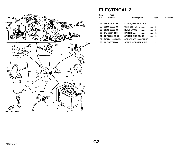<span id="page-73-0"></span>

## **ELECTRICAL 2**

| Ref. | Part                |                              |     |                |
|------|---------------------|------------------------------|-----|----------------|
| No.  | <b>Number</b>       | <b>Description</b>           | Qty | <b>Remarks</b> |
|      |                     |                              |     |                |
| 27   | 98516-05012-00      | SCREW, PAN HEAD 4CG  2       |     |                |
| 28   | 92906-05600-00      | WASHER, PLATE  2             |     |                |
| 29   | 95701-05500-00      | NUT, FLANGE  2               |     |                |
| 30   | 3TJ-83964-00-00     | SWITCH  1                    |     |                |
| 31   | 2KT-82566-01-00     | SWITCH, SIDE STAND  1        |     |                |
| 32   | $(3GM-81965-00-00)$ | CONDENSER, SMOOTHNG  1       |     |                |
| 33   | 90152-05021-00      | <b>SCREW, COUNTERSUNK  2</b> |     |                |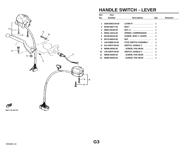

## **HANDLE SWITCH - LEVER**

| Ref. | Part            |                             |                          |                |
|------|-----------------|-----------------------------|--------------------------|----------------|
| No.  | <b>Number</b>   | <b>Description</b>          | Qty                      | <b>Remarks</b> |
|      |                 |                             |                          |                |
| 1    | 3GM-83922-00-00 | LEVER R                     | 1                        |                |
| 2    | 90109-06577-00  | <b>BOLT</b>                 | 1                        |                |
| 3    | 95601-06100-00  |                             | 1                        |                |
| 4    | 90501-10312-00  | <b>SPRING, COMPRESSION </b> | 1                        |                |
| 5    | 90149-06153-00  | SCREW, SPEC"L SHAPE         | 1                        |                |
| 6    | 90170-06010-00  | NUT                         | 1                        |                |
| 7    | 1A0-83980-30-00 | STOP SWITCH ASSEMBLY        | 1                        |                |
| 8    | 3LK-83973-00-00 | SWITCH, HANDLE 3            | 1                        |                |
| 9    | 98506-05035-00  | . SCREW, PAN HEAD           | $\overline{\phantom{a}}$ |                |
| 10   | 1VE-83975-00-00 | SWITCH, HANDLE 2            | 1                        |                |
| 11   | 98506-05040-00  | . SCREW, PAN HEAD           | 1                        |                |
| 12   | 98506-05045-00  | SCREW, PAN HEAD             | 1                        |                |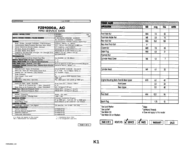MOTORCYCLE

DATE 11/8/89

## **FZR1000A, AC**<br>1990 SERVICE DATA

| MODEL / MODEL CODE AND THE RESIDENCE OF A SECOND PRODUCT. | <b>FZR1000A</b><br>3LK                            |
|-----------------------------------------------------------|---------------------------------------------------|
|                                                           | FZR1000AC<br>3LK                                  |
| INITIAL ENGINE NUMBER / FRAME NUMBER                      | A: 3LK-006101/JYA3LKE0( )LA006101                 |
|                                                           | AC: 3LK-010101/JYA3LKC0( )LA010101                |
| ENGINE: ABBERICHARD BERBEIT                               | Liquid-Cooled, 4-Stroke, 5-Valve, DOHC Four       |
| Bore / Stroke / Number Cylinders / Displacement           | 75.5mm / 56mm / 4 / 1003cc                        |
| Compression Ratio/Pressure Standard (Min~Max)             | 12:1 / 199 psi (193~210 psi) @ 400 rpm            |
| Valve Clearance (Cold): Intake / Exhaust                  | $0.11\!\sim\!0.20$ mm / $0.21\!\sim\!0.30$ mm     |
| Oil Type: Above 5°C (40°F)                                | Yamalube 4° or SAE 20W40 SE or SF                 |
| Oil Type: Below 15°C (60°F)                               | Yamalube 4" or SAE 10W30 SE or SF                 |
| Capacity: Oil and Filter Change / Oil Change Only         | 3000cc (3.2 qt) / 2700cc (2.9 qt)                 |
| Oil Filter Part Number                                    | 36Y-13441-00-00                                   |
| <b>TRANSMISSION</b>                                       |                                                   |
| Oil Type/Capacity/Drive Chain Free Play                   | See ENGINE / <i>Φ</i> / 15∼20mm                   |
| <b>MIDDLE OEAR CASE: OII Iype Congcity.</b>               | $\phi$   $\phi$                                   |
| <b>FINAL GEAR CASE: Off or Grease Type/Capacity</b>       | $\phi$   $\phi$                                   |
| FUEL TANK: Main / Reserve / Fuel Type                     | 19 Lit (5 gal)/3.5 Lit (0.9 gal)/Unleaded Regular |
| COOLING SYSTEM: Coolan! Type / Mixing Ratio (Liquid)      | Ethylene Glycol - Water / 1:1                     |
| <b>CARBURETOR:</b>                                        |                                                   |
| Manufacturer / Type / ID Number                           | Mikuni/BDST38 / A:3LK-00 AC:3LK-10                |
| Main Jet / Pilot Jet / Pilot Screw (Turns Out)            |                                                   |
| Needle Jet / Jet Needle / Clip Position                   | Y-0 / 5CEW9 / Fixed                               |
| Slide Cutaway                                             | Φ                                                 |
| Float Height / Fuel Level                                 | NA / 11 ±0.5mm (With Special Tool)                |
| Idle rpm                                                  | $1000 = 50$                                       |
| Max CO® / Max HC® / Set CO®                               | 7% / 2000 ppm / 4.0 ±0.5% @ 1000 rpm              |
| SUSPENSION: NEWSLETCHER WAS                               |                                                   |
| Front: Oil Type / Level / Quantity                        | 10 wt. Fork Oil* / 116mm / 535cc                  |
| Gas or Air Pressure Min $\sim$ Max / Standard             | $\phi$ / $\phi$                                   |
| Rear: Gas or Air Pressure Min $\sim$ Max / Standard       | NA / 1.2 kg/cm <sup>2</sup> (17 psi)              |
|                                                           | 130/60 ZR17 / 2.5 kg/cm <sup>2</sup> (36 psi)     |
| Size / Nominal Pressure: Rear                             | 170/60 ZR17 / 2.5 kg/cm <sup>2</sup> (36 psi)     |
| <b>BATTERY: ENDING:</b>                                   |                                                   |
| Model / Capacity                                          | YB-14L / 12V 14AH                                 |
| Specific Gravity / Charge Rate                            | 1.280 / 1.4A                                      |
| <b>IGNITION SYSTEM:</b>                                   | Transistor Controlled (Digital)                   |
| Timing (BTDC)                                             | 5° @ 1000 rpm Full Adv: 40° @ 5500 rpm            |
| Spark Plug / Gap                                          | NGK DP8EA-9 or ND X24EP-U9 / 0.8~0.9mm            |
| LIGHTING SYSTEM:                                          |                                                   |
| Headlight / Taillight / Turn Signal                       | 12V 8W-27W / 12V 27-8W / 12V 27W                  |
| SERVICE LITERATURE:                                       |                                                   |
| <b>Owner's Manual</b>                                     | LIT-11626-07-26                                   |
| Service Manual Supplement                                 | LIT-11616-07-26                                   |
| <b>Assembly Monual</b>                                    | LIT-11666-07-26                                   |
| Consumer Information                                      | LIT-11656-04-54                                   |
|                                                           |                                                   |

 $\phi$  = Does not apply to this model<br>NA = Information not available

 $\sim$ 

 $*$  = Available from YPAD<br> $\circledast$  = For diagnostic use only

| <b>TORQUE VALUES</b>                      | meneraleraler |      | mannanananan |              |
|-------------------------------------------|---------------|------|--------------|--------------|
| APPLICATION                               | <b>SIZE</b>   | m-kg | fi-ib        | <b>NOTES</b> |
| Front Axle Nut                            | M14           | 7.0  | 50           |              |
| Front Axle Holder Nut                     | M8            | 20   | 14           |              |
| Rear Axle Nut                             | M16           | 15.0 | 108          |              |
| Rear Axle Pinch Bolt                      | Φ             |      |              |              |
| Clutch Nut                                | M20           | 7.0  | 50           |              |
| Drain Plug                                | M14           | 43   | 31           |              |
| <b>Flywheel Nut</b>                       |               |      |              |              |
| Cylinder Head Cover                       | M6            | 1.0  |              |              |
| <b>Cylinder Head</b>                      | M9            | 41   | 30           |              |
| Engine Mounting Bolts: Front & Rear Upper | M10           | 6.0  | 43           |              |
| Front Lower                               |               | 33   | 24           |              |
| Rear Upper                                |               | 55   | 40           |              |
| <b>Pivot Shaft</b>                        | M14           | 13.0 | 94           |              |
| Spark Plug                                |               | 1.75 | 13           |              |

<sup>1</sup> Use Lock Washer<br><sup>2</sup> Use Loctite®<br><sup>3</sup> Use Motor Oil

<sup>4</sup> Use Motor Oil on Washers

 $<sup>5</sup>$  Stake</sup> <sup>6</sup> Left-Hand Threads

 $\phi$  Does not apply to this model



PAGE 1 OF 2